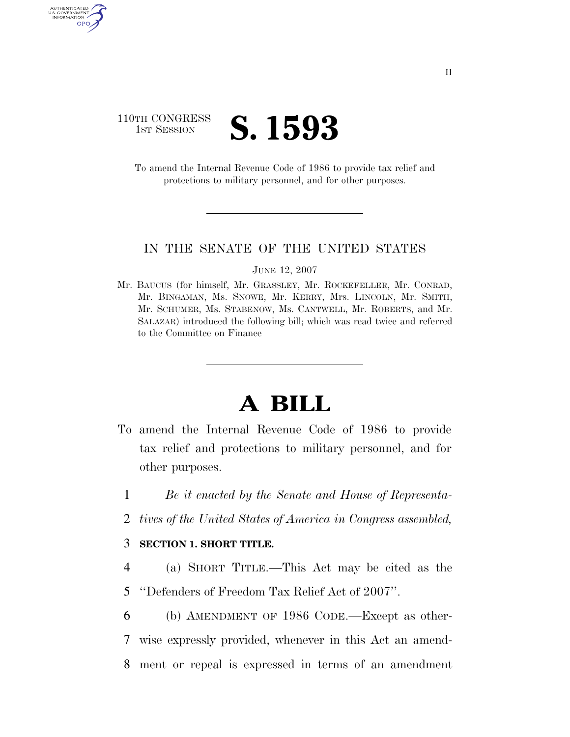### 110TH CONGRESS **IST SESSION S. 1593**

AUTHENTICATED U.S. GOVERNMENT GPO

> To amend the Internal Revenue Code of 1986 to provide tax relief and protections to military personnel, and for other purposes.

#### IN THE SENATE OF THE UNITED STATES

JUNE 12, 2007

Mr. BAUCUS (for himself, Mr. GRASSLEY, Mr. ROCKEFELLER, Mr. CONRAD, Mr. BINGAMAN, Ms. SNOWE, Mr. KERRY, Mrs. LINCOLN, Mr. SMITH, Mr. SCHUMER, Ms. STABENOW, Ms. CANTWELL, Mr. ROBERTS, and Mr. SALAZAR) introduced the following bill; which was read twice and referred to the Committee on Finance

# **A BILL**

- To amend the Internal Revenue Code of 1986 to provide tax relief and protections to military personnel, and for other purposes.
	- 1 *Be it enacted by the Senate and House of Representa-*
	- 2 *tives of the United States of America in Congress assembled,*

### 3 **SECTION 1. SHORT TITLE.**

- 4 (a) SHORT TITLE.—This Act may be cited as the 5 ''Defenders of Freedom Tax Relief Act of 2007''.
- 6 (b) AMENDMENT OF 1986 CODE.—Except as other-7 wise expressly provided, whenever in this Act an amend-8 ment or repeal is expressed in terms of an amendment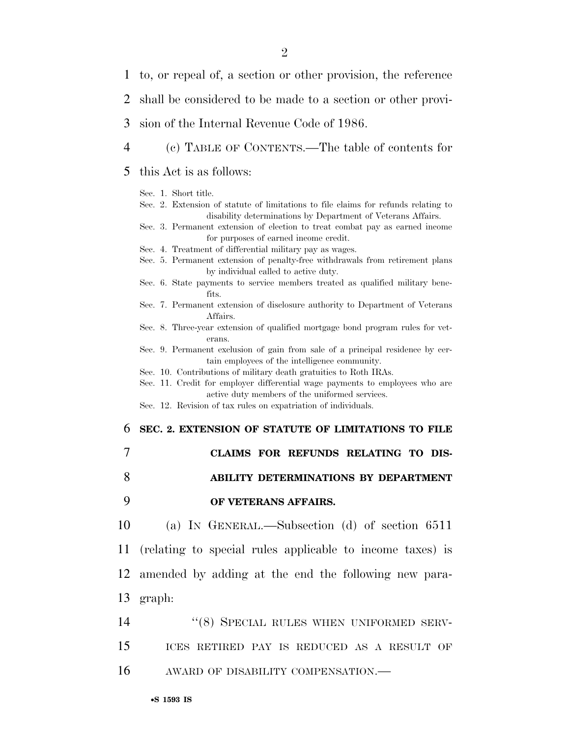| 1                          | to, or repeal of, a section or other provision, the reference                                                                                                                                                                                                                                                                                                                                                                                                                                                                                                                                                                                                                                                                                                                                                                                                 |
|----------------------------|---------------------------------------------------------------------------------------------------------------------------------------------------------------------------------------------------------------------------------------------------------------------------------------------------------------------------------------------------------------------------------------------------------------------------------------------------------------------------------------------------------------------------------------------------------------------------------------------------------------------------------------------------------------------------------------------------------------------------------------------------------------------------------------------------------------------------------------------------------------|
| 2                          | shall be considered to be made to a section or other provi-                                                                                                                                                                                                                                                                                                                                                                                                                                                                                                                                                                                                                                                                                                                                                                                                   |
| 3                          | sion of the Internal Revenue Code of 1986.                                                                                                                                                                                                                                                                                                                                                                                                                                                                                                                                                                                                                                                                                                                                                                                                                    |
| 4                          | (c) TABLE OF CONTENTS.—The table of contents for                                                                                                                                                                                                                                                                                                                                                                                                                                                                                                                                                                                                                                                                                                                                                                                                              |
| 5                          | this Act is as follows:                                                                                                                                                                                                                                                                                                                                                                                                                                                                                                                                                                                                                                                                                                                                                                                                                                       |
|                            | Sec. 1. Short title.<br>Sec. 2. Extension of statute of limitations to file claims for refunds relating to<br>disability determinations by Department of Veterans Affairs.<br>Sec. 3. Permanent extension of election to treat combat pay as earned income<br>for purposes of earned income credit.<br>Sec. 4. Treatment of differential military pay as wages.<br>Sec. 5. Permanent extension of penalty-free withdrawals from retirement plans<br>by individual called to active duty.<br>Sec. 6. State payments to service members treated as qualified military bene-<br>fits.<br>Sec. 7. Permanent extension of disclosure authority to Department of Veterans<br>Affairs.<br>Sec. 8. Three-year extension of qualified mortgage bond program rules for vet-<br>erans.<br>Sec. 9. Permanent exclusion of gain from sale of a principal residence by cer- |
|                            | tain employees of the intelligence community.<br>Sec. 10. Contributions of military death gratuities to Roth IRAs.<br>Sec. 11. Credit for employer differential wage payments to employees who are<br>active duty members of the uniformed services.<br>Sec. 12. Revision of tax rules on expatriation of individuals.                                                                                                                                                                                                                                                                                                                                                                                                                                                                                                                                        |
| 6                          | SEC. 2. EXTENSION OF STATUTE OF LIMITATIONS TO FILE                                                                                                                                                                                                                                                                                                                                                                                                                                                                                                                                                                                                                                                                                                                                                                                                           |
| 7                          | CLAIMS FOR REFUNDS RELATING TO DIS-                                                                                                                                                                                                                                                                                                                                                                                                                                                                                                                                                                                                                                                                                                                                                                                                                           |
| 8                          | ABILITY DETERMINATIONS BY DEPARTMENT                                                                                                                                                                                                                                                                                                                                                                                                                                                                                                                                                                                                                                                                                                                                                                                                                          |
| 9                          | OF VETERANS AFFAIRS.                                                                                                                                                                                                                                                                                                                                                                                                                                                                                                                                                                                                                                                                                                                                                                                                                                          |
|                            | (a) IN GENERAL.—Subsection (d) of section $6511$                                                                                                                                                                                                                                                                                                                                                                                                                                                                                                                                                                                                                                                                                                                                                                                                              |
|                            | (relating to special rules applicable to income taxes) is                                                                                                                                                                                                                                                                                                                                                                                                                                                                                                                                                                                                                                                                                                                                                                                                     |
|                            | amended by adding at the end the following new para-                                                                                                                                                                                                                                                                                                                                                                                                                                                                                                                                                                                                                                                                                                                                                                                                          |
|                            | graph:                                                                                                                                                                                                                                                                                                                                                                                                                                                                                                                                                                                                                                                                                                                                                                                                                                                        |
| 10<br>11<br>12<br>13<br>14 | "(8) SPECIAL RULES WHEN UNIFORMED SERV-                                                                                                                                                                                                                                                                                                                                                                                                                                                                                                                                                                                                                                                                                                                                                                                                                       |

16 AWARD OF DISABILITY COMPENSATION.—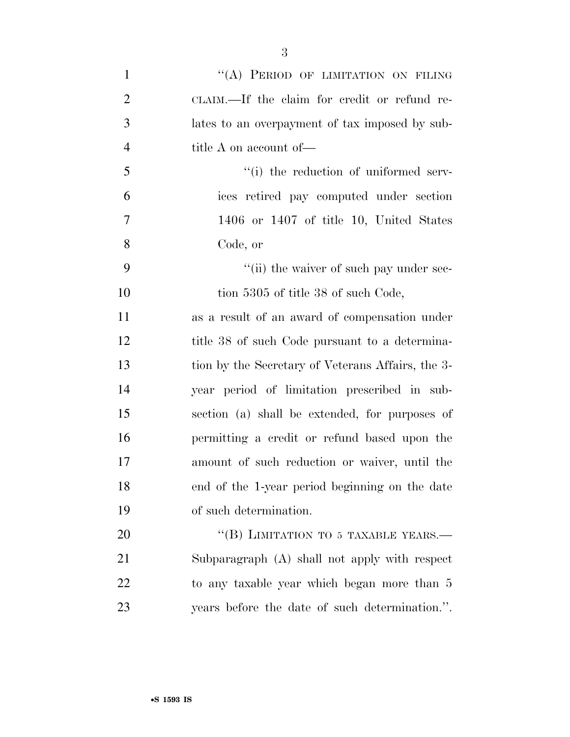1 "(A) PERIOD OF LIMITATION ON FILING CLAIM.—If the claim for credit or refund re- lates to an overpayment of tax imposed by sub- title A on account of— 5 ''(i) the reduction of uniformed serv- ices retired pay computed under section 1406 or 1407 of title 10, United States Code, or  $\frac{1}{1}$  the waiver of such pay under sec-10 tion 5305 of title 38 of such Code, as a result of an award of compensation under 12 title 38 of such Code pursuant to a determina- tion by the Secretary of Veterans Affairs, the 3- year period of limitation prescribed in sub- section (a) shall be extended, for purposes of permitting a credit or refund based upon the amount of such reduction or waiver, until the end of the 1-year period beginning on the date of such determination. 20 "(B) LIMITATION TO 5 TAXABLE YEARS.— Subparagraph (A) shall not apply with respect

 to any taxable year which began more than 5 years before the date of such determination.''.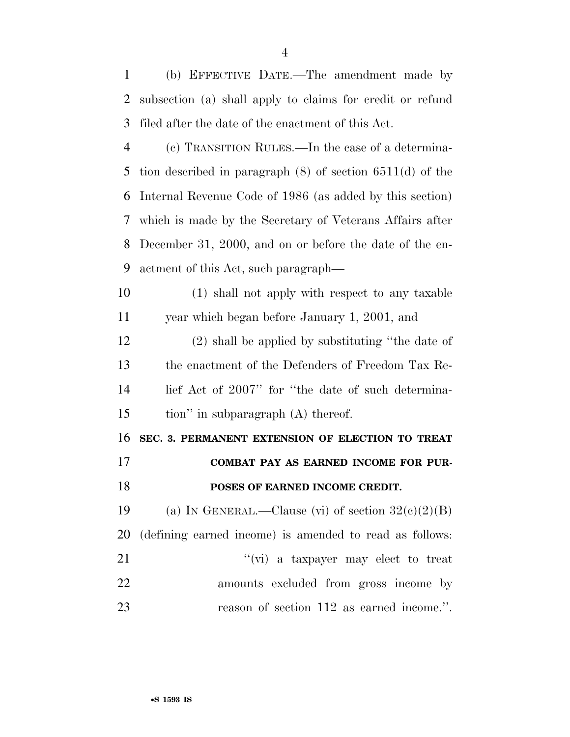(b) EFFECTIVE DATE.—The amendment made by subsection (a) shall apply to claims for credit or refund filed after the date of the enactment of this Act.

 (c) TRANSITION RULES.—In the case of a determina- tion described in paragraph (8) of section 6511(d) of the Internal Revenue Code of 1986 (as added by this section) which is made by the Secretary of Veterans Affairs after December 31, 2000, and on or before the date of the en-actment of this Act, such paragraph—

 (1) shall not apply with respect to any taxable year which began before January 1, 2001, and

 (2) shall be applied by substituting ''the date of the enactment of the Defenders of Freedom Tax Re- lief Act of 2007'' for ''the date of such determina-tion'' in subparagraph (A) thereof.

 **SEC. 3. PERMANENT EXTENSION OF ELECTION TO TREAT COMBAT PAY AS EARNED INCOME FOR PUR-**

#### **POSES OF EARNED INCOME CREDIT.**

19 (a) IN GENERAL.—Clause (vi) of section  $32(c)(2)(B)$ (defining earned income) is amended to read as follows:

| 21 | $\lq\lq$ (vi) a taxpayer may elect to treat |
|----|---------------------------------------------|
| 22 | amounts excluded from gross income by       |
| 23 | reason of section 112 as earned income.".   |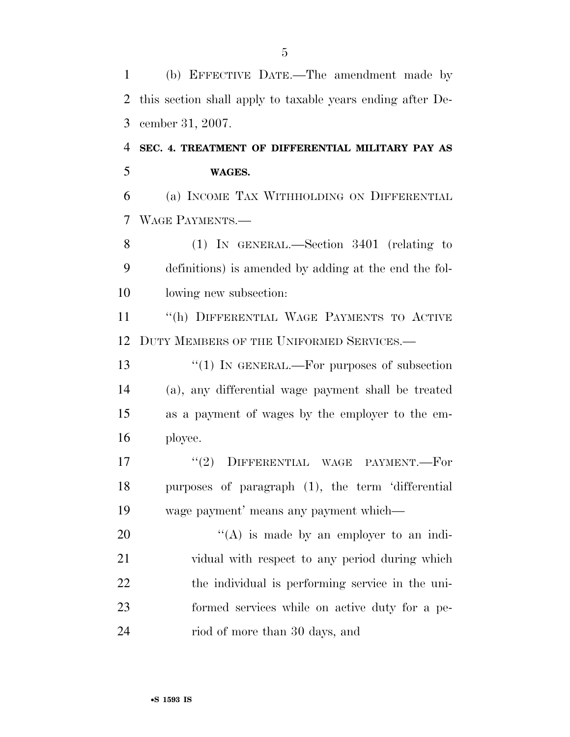(b) EFFECTIVE DATE.—The amendment made by this section shall apply to taxable years ending after De-cember 31, 2007.

### **SEC. 4. TREATMENT OF DIFFERENTIAL MILITARY PAY AS WAGES.**

 (a) INCOME TAX WITHHOLDING ON DIFFERENTIAL WAGE PAYMENTS.—

 (1) IN GENERAL.—Section 3401 (relating to definitions) is amended by adding at the end the fol-lowing new subsection:

 ''(h) DIFFERENTIAL WAGE PAYMENTS TO ACTIVE 12 DUTY MEMBERS OF THE UNIFORMED SERVICES.—

13 "(1) IN GENERAL.—For purposes of subsection (a), any differential wage payment shall be treated as a payment of wages by the employer to the em-ployee.

17  $(2)$  DIFFERENTIAL WAGE PAYMENT. For purposes of paragraph (1), the term 'differential wage payment' means any payment which—

 $((A)$  is made by an employer to an indi- vidual with respect to any period during which the individual is performing service in the uni- formed services while on active duty for a pe-riod of more than 30 days, and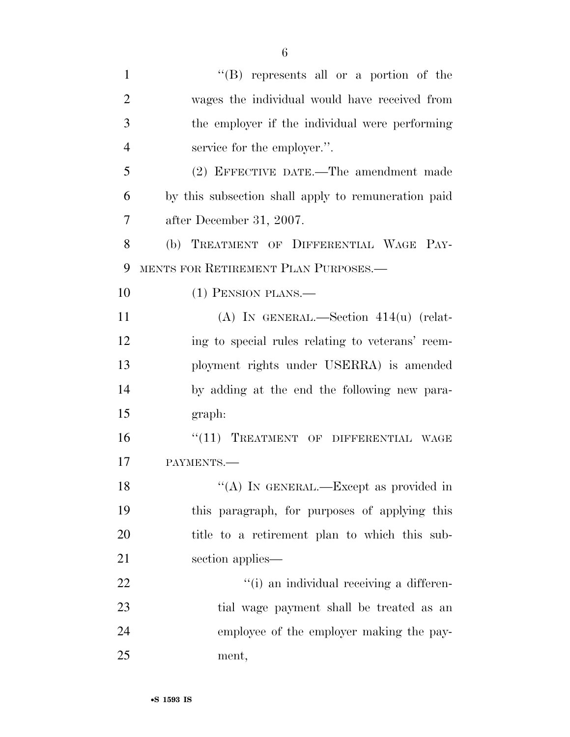|                | $\lq\lq (B)$ represents all or a portion of the     |
|----------------|-----------------------------------------------------|
| 2              | wages the individual would have received from       |
| 3              | the employer if the individual were performing      |
| $\overline{4}$ | service for the employer.".                         |
| 5              | (2) EFFECTIVE DATE.—The amendment made              |
| 6              | by this subsection shall apply to remuneration paid |
| 7              | after December 31, 2007.                            |
| 8              | (b) TREATMENT OF DIFFERENTIAL WAGE PAY-             |
| 9              | MENTS FOR RETIREMENT PLAN PURPOSES.—                |
| 10             | $(1)$ PENSION PLANS.—                               |

 (A) IN GENERAL.—Section 414(u) (relat- ing to special rules relating to veterans' reem- ployment rights under USERRA) is amended by adding at the end the following new para-graph:

16 "(11) TREATMENT OF DIFFERENTIAL WAGE PAYMENTS.—

18 "(A) IN GENERAL.—Except as provided in this paragraph, for purposes of applying this title to a retirement plan to which this sub-section applies—

 $\frac{1}{1}$  an individual receiving a differen- tial wage payment shall be treated as an employee of the employer making the pay-ment,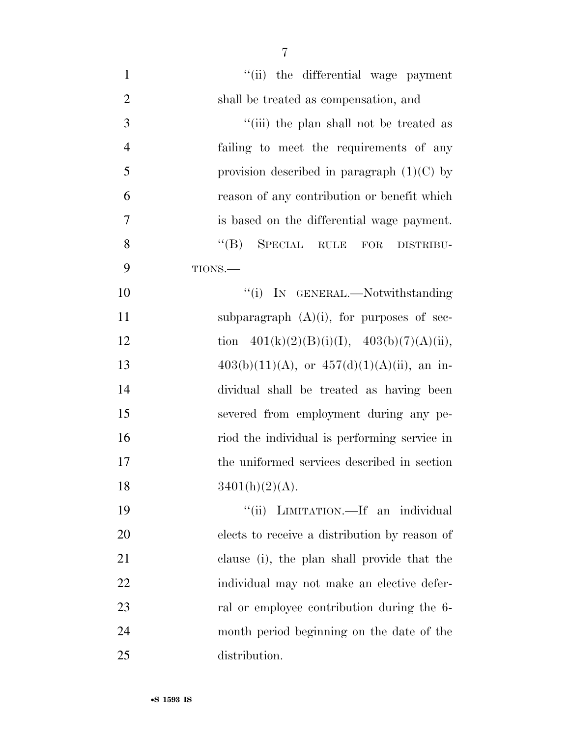| $\mathbf{1}$   | "(ii) the differential wage payment                  |
|----------------|------------------------------------------------------|
| $\overline{2}$ | shall be treated as compensation, and                |
| 3              | "(iii) the plan shall not be treated as              |
| $\overline{4}$ | failing to meet the requirements of any              |
| 5              | provision described in paragraph $(1)(C)$ by         |
| 6              | reason of any contribution or benefit which          |
| $\overline{7}$ | is based on the differential wage payment.           |
| 8              | $\lq\lq(B)$ SPECIAL RULE<br>${\rm FOR}$<br>DISTRIBU- |
| 9              | TIONS.                                               |
| 10             | "(i) IN GENERAL.—Notwithstanding                     |
| 11             | subparagraph $(A)(i)$ , for purposes of sec-         |
| 12             | tion $401(k)(2)(B)(i)(I), 403(b)(7)(A)(ii),$         |
| 13             | $403(b)(11)(A)$ , or $457(d)(1)(A)(ii)$ , an in-     |
| 14             | dividual shall be treated as having been             |
| 15             | severed from employment during any pe-               |
| 16             | riod the individual is performing service in         |
| 17             | the uniformed services described in section          |
| 18             | $3401(h)(2)(A)$ .                                    |
| 19             | "(ii) LIMITATION.—If an individual                   |
| 20             | elects to receive a distribution by reason of        |
| 21             | clause (i), the plan shall provide that the          |
| 22             | individual may not make an elective defer-           |
| 23             | ral or employee contribution during the 6-           |
| 24             | month period beginning on the date of the            |
| 25             | distribution.                                        |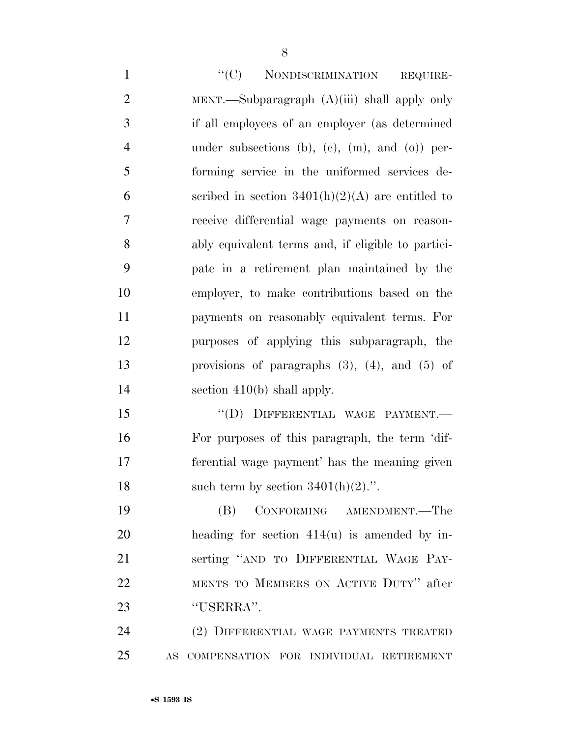1 "'(C) NONDISCRIMINATION REQUIRE- MENT.—Subparagraph (A)(iii) shall apply only if all employees of an employer (as determined under subsections (b), (c), (m), and (o)) per- forming service in the uniformed services de-6 section 3401(h)(2)(A) are entitled to receive differential wage payments on reason- ably equivalent terms and, if eligible to partici- pate in a retirement plan maintained by the employer, to make contributions based on the payments on reasonably equivalent terms. For purposes of applying this subparagraph, the provisions of paragraphs (3), (4), and (5) of 14 section 410(b) shall apply.

15 "(D) DIFFERENTIAL WAGE PAYMENT.— For purposes of this paragraph, the term 'dif- ferential wage payment' has the meaning given 18 such term by section  $3401(h)(2)$ .".

 (B) CONFORMING AMENDMENT.—The heading for section 414(u) is amended by in- serting ''AND TO DIFFERENTIAL WAGE PAY- MENTS TO MEMBERS ON ACTIVE DUTY'' after ''USERRA''.

 (2) DIFFERENTIAL WAGE PAYMENTS TREATED AS COMPENSATION FOR INDIVIDUAL RETIREMENT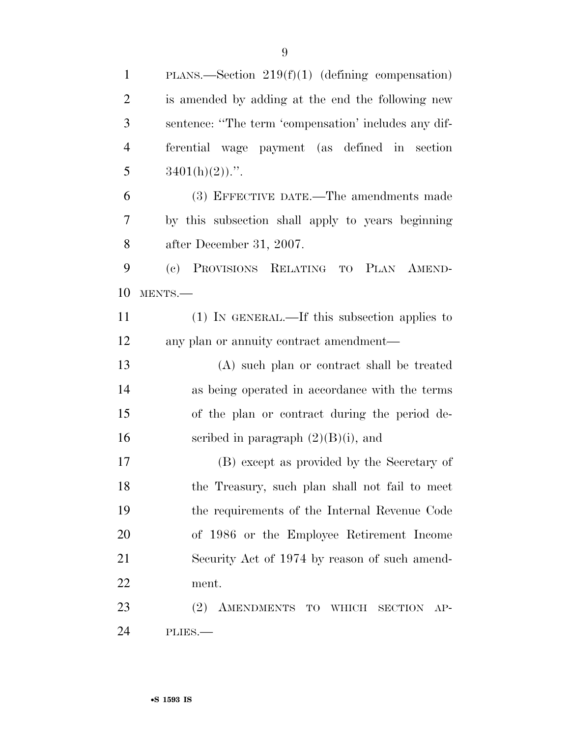| $\mathbf{1}$   | PLANS.—Section $219(f)(1)$ (defining compensation)   |
|----------------|------------------------------------------------------|
| $\overline{2}$ | is amended by adding at the end the following new    |
| 3              | sentence: "The term 'compensation' includes any dif- |
| $\overline{4}$ | ferential wage payment (as defined in section        |
| 5              | $3401(h)(2)$ .".                                     |
| 6              | (3) EFFECTIVE DATE.—The amendments made              |
| 7              | by this subsection shall apply to years beginning    |
| 8              | after December 31, 2007.                             |
| 9              | PROVISIONS RELATING TO PLAN AMEND-<br>(e)            |
| 10             | MENTS.                                               |
| 11             | $(1)$ IN GENERAL.—If this subsection applies to      |
| 12             | any plan or annuity contract amendment—              |
| 13             | (A) such plan or contract shall be treated           |
| 14             | as being operated in accordance with the terms       |
| 15             | of the plan or contract during the period de-        |
| 16             | scribed in paragraph $(2)(B)(i)$ , and               |
| 17             | (B) except as provided by the Secretary of           |
| 18             | the Treasury, such plan shall not fail to meet       |
| 19             | the requirements of the Internal Revenue Code        |
| 20             | of 1986 or the Employee Retirement Income            |
| 21             | Security Act of 1974 by reason of such amend-        |
| 22             | ment.                                                |
| 23             | (2) AMENDMENTS TO WHICH<br>SECTION AP-               |
| 24             | $PLIES.$ —                                           |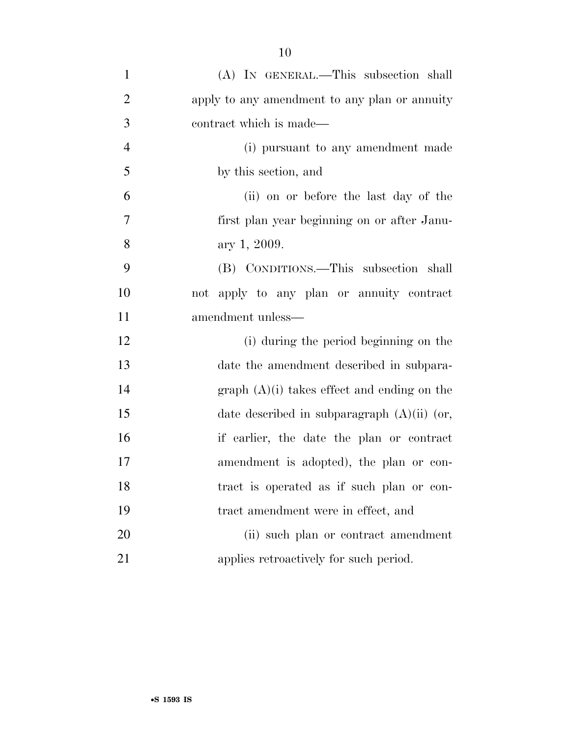| $\mathbf{1}$   | (A) IN GENERAL.—This subsection shall         |
|----------------|-----------------------------------------------|
| $\overline{2}$ | apply to any amendment to any plan or annuity |
| 3              | contract which is made—                       |
| $\overline{4}$ | (i) pursuant to any amendment made            |
| 5              | by this section, and                          |
| 6              | (ii) on or before the last day of the         |
| 7              | first plan year beginning on or after Janu-   |
| 8              | ary 1, 2009.                                  |
| 9              | (B) CONDITIONS.—This subsection shall         |
| 10             | not apply to any plan or annuity contract     |
| 11             | amendment unless—                             |
| 12             | (i) during the period beginning on the        |
| 13             | date the amendment described in subpara-      |
| 14             | $graph (A)(i)$ takes effect and ending on the |
| 15             | date described in subparagraph $(A)(ii)$ (or, |
| 16             | if earlier, the date the plan or contract     |
| 17             | amendment is adopted), the plan or con-       |
| 18             | tract is operated as if such plan or con-     |
| 19             | tract amendment were in effect, and           |
| 20             | (ii) such plan or contract amendment          |
| 21             | applies retroactively for such period.        |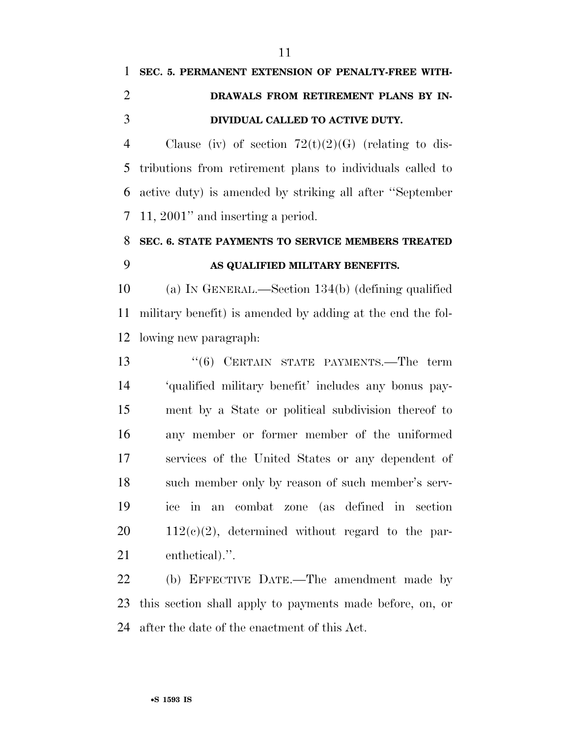## **SEC. 5. PERMANENT EXTENSION OF PENALTY-FREE WITH- DRAWALS FROM RETIREMENT PLANS BY IN-DIVIDUAL CALLED TO ACTIVE DUTY.**

4 Clause (iv) of section  $72(t)(2)(G)$  (relating to dis- tributions from retirement plans to individuals called to active duty) is amended by striking all after ''September 11, 2001'' and inserting a period.

## **SEC. 6. STATE PAYMENTS TO SERVICE MEMBERS TREATED AS QUALIFIED MILITARY BENEFITS.**

 (a) IN GENERAL.—Section 134(b) (defining qualified military benefit) is amended by adding at the end the fol-lowing new paragraph:

13 "(6) CERTAIN STATE PAYMENTS.—The term 'qualified military benefit' includes any bonus pay- ment by a State or political subdivision thereof to any member or former member of the uniformed services of the United States or any dependent of such member only by reason of such member's serv- ice in an combat zone (as defined in section  $20 \qquad 112(c)(2)$ , determined without regard to the par-enthetical).''.

 (b) EFFECTIVE DATE.—The amendment made by this section shall apply to payments made before, on, or after the date of the enactment of this Act.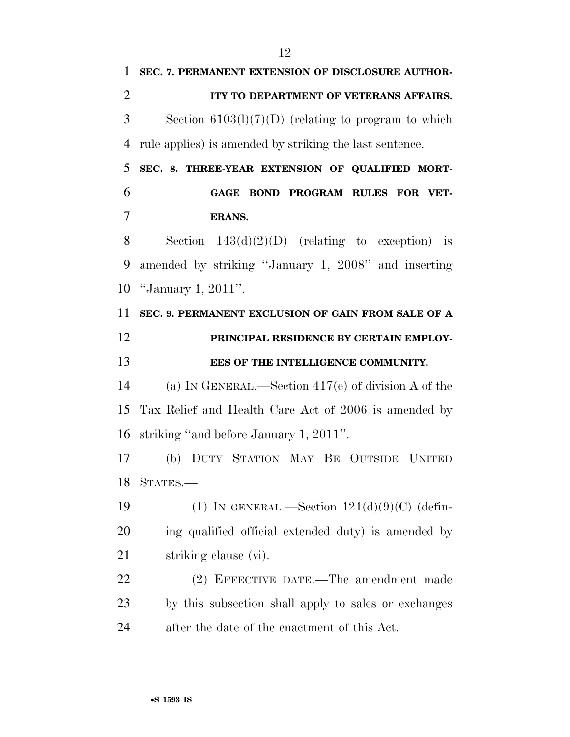**ITY TO DEPARTMENT OF VETERANS AFFAIRS.**  Section 6103(l)(7)(D) (relating to program to which rule applies) is amended by striking the last sentence. **SEC. 8. THREE-YEAR EXTENSION OF QUALIFIED MORT- GAGE BOND PROGRAM RULES FOR VET- ERANS.**  8 Section  $143(d)(2)(D)$  (relating to exception) is amended by striking ''January 1, 2008'' and inserting ''January 1, 2011''. **SEC. 9. PERMANENT EXCLUSION OF GAIN FROM SALE OF A PRINCIPAL RESIDENCE BY CERTAIN EMPLOY- EES OF THE INTELLIGENCE COMMUNITY.**  (a) IN GENERAL.—Section 417(e) of division A of the Tax Relief and Health Care Act of 2006 is amended by striking ''and before January 1, 2011''. (b) DUTY STATION MAY BE OUTSIDE UNITED STATES.— 19 (1) IN GENERAL.—Section  $121(d)(9)(C)$  (defin- ing qualified official extended duty) is amended by 21 striking clause (vi). (2) EFFECTIVE DATE.—The amendment made by this subsection shall apply to sales or exchanges after the date of the enactment of this Act.

**SEC. 7. PERMANENT EXTENSION OF DISCLOSURE AUTHOR-**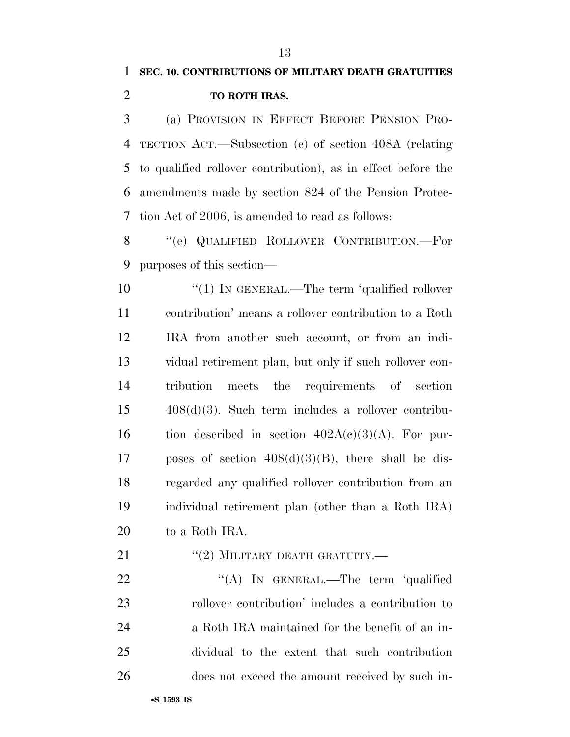(a) PROVISION IN EFFECT BEFORE PENSION PRO- TECTION ACT.—Subsection (e) of section 408A (relating to qualified rollover contribution), as in effect before the amendments made by section 824 of the Pension Protec-tion Act of 2006, is amended to read as follows:

8 "(e) QUALIFIED ROLLOVER CONTRIBUTION.—For purposes of this section—

 $\frac{1}{2}$  (1) In GENERAL.—The term 'qualified rollover contribution' means a rollover contribution to a Roth IRA from another such account, or from an indi- vidual retirement plan, but only if such rollover con- tribution meets the requirements of section 408(d)(3). Such term includes a rollover contribu-16 tion described in section  $402A(c)(3)(A)$ . For pur-17 poses of section  $408(d)(3)(B)$ , there shall be dis- regarded any qualified rollover contribution from an individual retirement plan (other than a Roth IRA) to a Roth IRA.

21 "(2) MILITARY DEATH GRATUITY.—

22 "'(A) In GENERAL.—The term 'qualified rollover contribution' includes a contribution to a Roth IRA maintained for the benefit of an in- dividual to the extent that such contribution does not exceed the amount received by such in-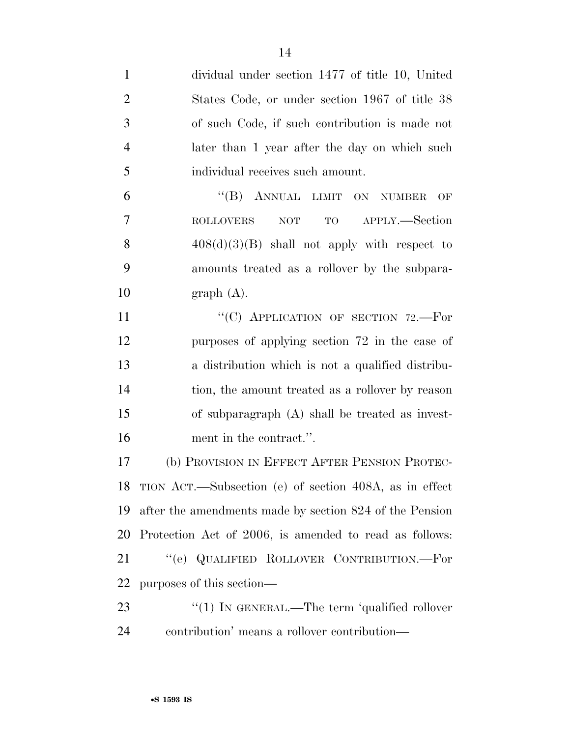| $\mathbf{1}$   | dividual under section 1477 of title 10, United           |
|----------------|-----------------------------------------------------------|
| $\overline{2}$ | States Code, or under section 1967 of title 38            |
| 3              | of such Code, if such contribution is made not            |
| $\overline{4}$ | later than 1 year after the day on which such             |
| 5              | individual receives such amount.                          |
| 6              | "(B) ANNUAL LIMIT ON NUMBER<br>OF                         |
| 7              | APPLY.-Section<br>TO <b>TO</b><br>$\sf{ROLLOVERS}$<br>NOT |
| 8              | $408(d)(3)(B)$ shall not apply with respect to            |
| 9              | amounts treated as a rollover by the subpara-             |
| 10             | graph(A).                                                 |
| 11             | "(C) APPLICATION OF SECTION 72.-For                       |
| 12             | purposes of applying section 72 in the case of            |
| 13             | a distribution which is not a qualified distribu-         |
| 14             | tion, the amount treated as a rollover by reason          |
| 15             | of subparagraph $(A)$ shall be treated as invest-         |
| 16             | ment in the contract.".                                   |
| 17             | (b) PROVISION IN EFFECT AFTER PENSION PROTEC-             |
|                | 18 TION ACT.—Subsection (e) of section 408A, as in effect |
| 19             | after the amendments made by section 824 of the Pension   |
| 20             | Protection Act of 2006, is amended to read as follows:    |
| 21             | "(e) QUALIFIED ROLLOVER CONTRIBUTION.—For                 |
| 22             | purposes of this section—                                 |
| 23             | " $(1)$ In GENERAL.—The term 'qualified rollover'         |
| 24             | contribution' means a rollover contribution—              |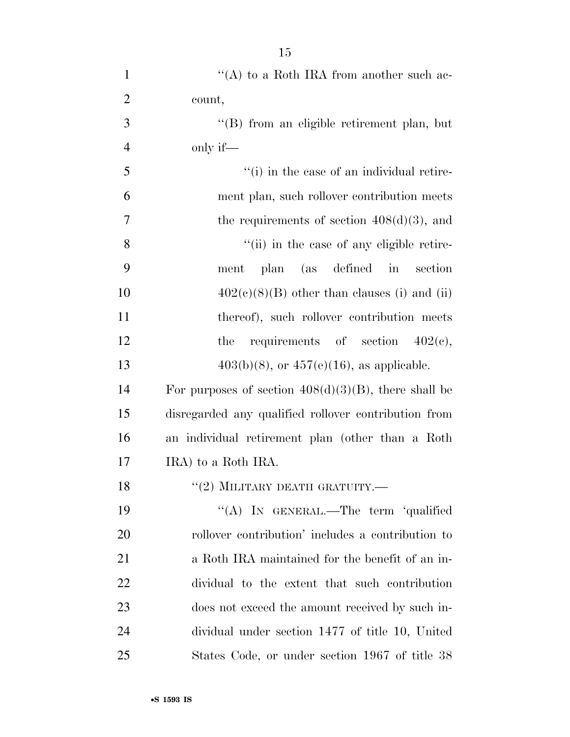| $\mathbf{1}$   | "(A) to a Roth IRA from another such ac-                |
|----------------|---------------------------------------------------------|
| $\overline{2}$ | count,                                                  |
| 3              | "(B) from an eligible retirement plan, but              |
| $\overline{4}$ | only if—                                                |
| 5              | "(i) in the case of an individual retire-               |
| 6              | ment plan, such rollover contribution meets             |
| $\overline{7}$ | the requirements of section $408(d)(3)$ , and           |
| 8              | "(ii) in the case of any eligible retire-               |
| 9              | plan (as defined in<br>section<br>ment                  |
| 10             | $402(c)(8)(B)$ other than clauses (i) and (ii)          |
| 11             | thereof), such rollover contribution meets              |
| 12             | requirements of section $402(e)$ ,<br>the               |
| 13             | $403(b)(8)$ , or $457(e)(16)$ , as applicable.          |
| 14             | For purposes of section $408(d)(3)(B)$ , there shall be |
| 15             | disregarded any qualified rollover contribution from    |
| 16             | an individual retirement plan (other than a Roth        |
| 17             | IRA) to a Roth IRA.                                     |
| 18             | $``(2)$ MILITARY DEATH GRATUITY.—                       |
| 19             | "(A) IN GENERAL.—The term 'qualified                    |
| 20             | rollover contribution' includes a contribution to       |
| 21             | a Roth IRA maintained for the benefit of an in-         |
| <u>22</u>      | dividual to the extent that such contribution           |
| 23             | does not exceed the amount received by such in-         |
| 24             | dividual under section 1477 of title 10, United         |
| 25             | States Code, or under section 1967 of title 38          |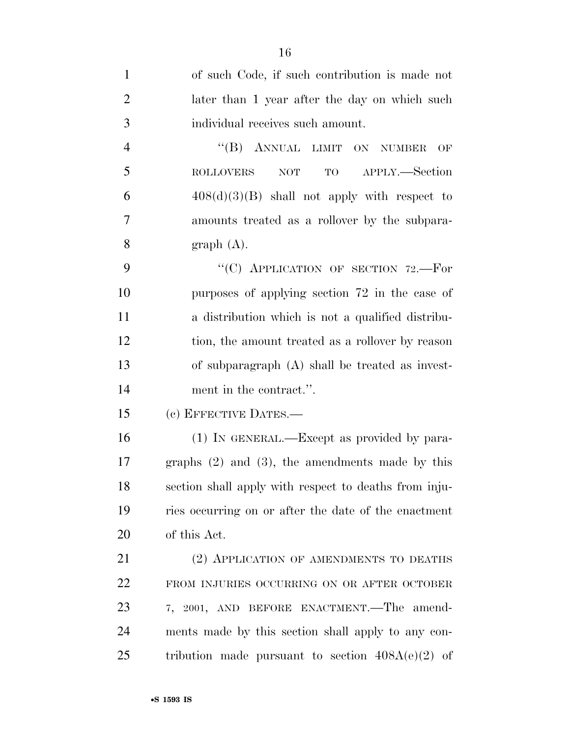4 "(B) ANNUAL LIMIT ON NUMBER OF ROLLOVERS NOT TO APPLY.—Section 6  $408(d)(3)(B)$  shall not apply with respect to amounts treated as a rollover by the subpara-8 graph  $(A)$ .

9 "(C) APPLICATION OF SECTION 72.—For purposes of applying section 72 in the case of a distribution which is not a qualified distribu- tion, the amount treated as a rollover by reason of subparagraph (A) shall be treated as invest-ment in the contract.''.

(c) EFFECTIVE DATES.—

 (1) IN GENERAL.—Except as provided by para- graphs (2) and (3), the amendments made by this section shall apply with respect to deaths from inju- ries occurring on or after the date of the enactment of this Act.

21 (2) APPLICATION OF AMENDMENTS TO DEATHS FROM INJURIES OCCURRING ON OR AFTER OCTOBER 7, 2001, AND BEFORE ENACTMENT.—The amend- ments made by this section shall apply to any con-25 tribution made pursuant to section  $408A(e)(2)$  of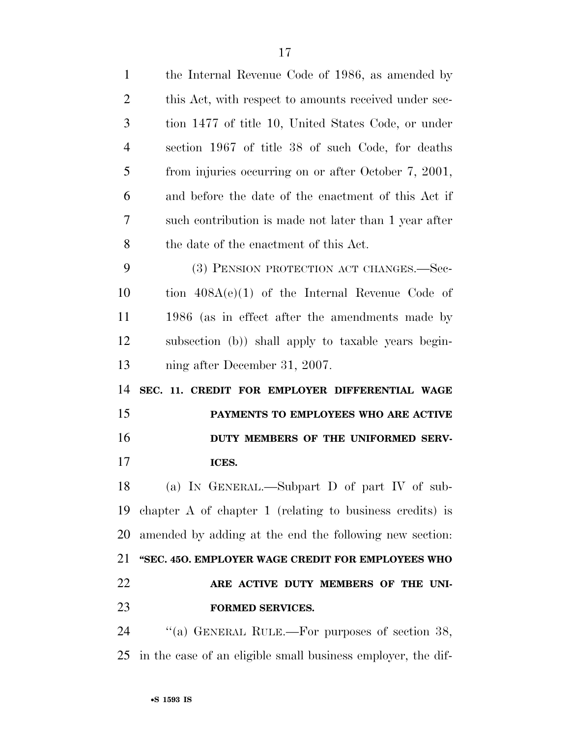| 1              | the Internal Revenue Code of 1986, as amended by           |
|----------------|------------------------------------------------------------|
| 2              | this Act, with respect to amounts received under sec-      |
| 3              | tion 1477 of title 10, United States Code, or under        |
| $\overline{4}$ | section 1967 of title 38 of such Code, for deaths          |
| 5              | from injuries occurring on or after October 7, 2001,       |
| 6              | and before the date of the enactment of this Act if        |
| 7              | such contribution is made not later than 1 year after      |
| 8              | the date of the enactment of this Act.                     |
| 9              | (3) PENSION PROTECTION ACT CHANGES.—Sec-                   |
| 10             | tion $408A(e)(1)$ of the Internal Revenue Code of          |
| 11             | 1986 (as in effect after the amendments made by            |
| 12             | subsection (b)) shall apply to taxable years begin-        |
| 13             | ning after December 31, 2007.                              |
|                |                                                            |
| 14             | SEC. 11. CREDIT FOR EMPLOYER DIFFERENTIAL WAGE             |
| 15             | PAYMENTS TO EMPLOYEES WHO ARE ACTIVE                       |
| 16             | DUTY MEMBERS OF THE UNIFORMED SERV-                        |
| 17             | ICES.                                                      |
| 18             | (a) IN GENERAL.—Subpart D of part IV of sub-               |
| 19             | chapter $A$ of chapter 1 (relating to business credits) is |
| 20             | amended by adding at the end the following new section:    |
| 21             | "SEC. 450. EMPLOYER WAGE CREDIT FOR EMPLOYEES WHO          |
| 22             | ARE ACTIVE DUTY MEMBERS OF THE UNI-                        |
| 23             | <b>FORMED SERVICES.</b>                                    |
| 24             | "(a) GENERAL RULE.—For purposes of section 38,             |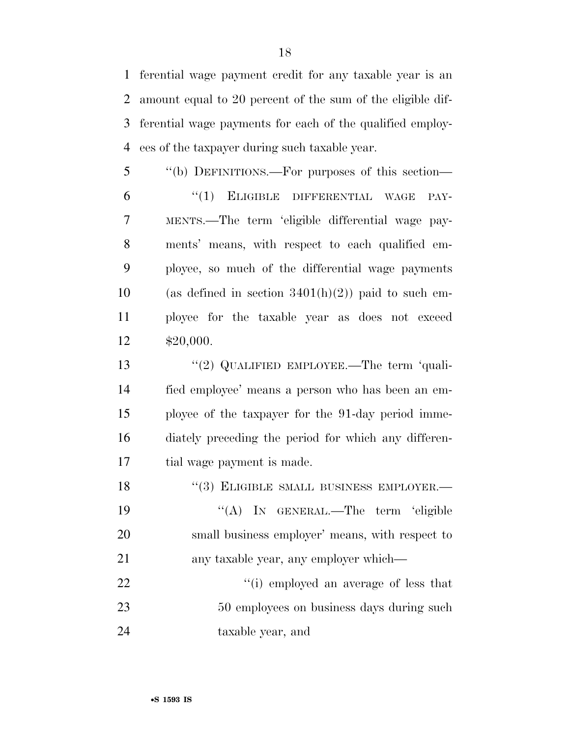ferential wage payment credit for any taxable year is an amount equal to 20 percent of the sum of the eligible dif- ferential wage payments for each of the qualified employ-ees of the taxpayer during such taxable year.

 ''(b) DEFINITIONS.—For purposes of this section— 6 "(1) ELIGIBLE DIFFERENTIAL WAGE PAY- MENTS.—The term 'eligible differential wage pay- ments' means, with respect to each qualified em- ployee, so much of the differential wage payments 10 (as defined in section  $3401(h)(2)$ ) paid to such em- ployee for the taxable year as does not exceed \$20,000.

13 "(2) QUALIFIED EMPLOYEE.—The term 'quali- fied employee' means a person who has been an em- ployee of the taxpayer for the 91-day period imme- diately preceding the period for which any differen-tial wage payment is made.

18 "(3) ELIGIBLE SMALL BUSINESS EMPLOYER.— 19 "(A) IN GENERAL.—The term 'eligible small business employer' means, with respect to any taxable year, any employer which— 22  $\frac{1}{2}$   $\frac{1}{2}$   $\frac{1}{2}$  employed an average of less that

23 50 employees on business days during such taxable year, and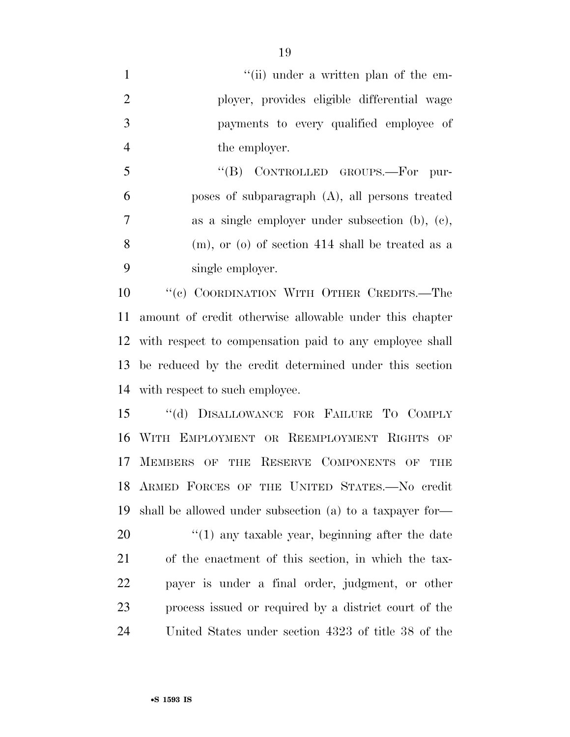|    | "(ii) under a written plan of the em-       |
|----|---------------------------------------------|
| -2 | ployer, provides eligible differential wage |
| 3  | payments to every qualified employee of     |
|    | the employer.                               |

 ''(B) CONTROLLED GROUPS.—For pur- poses of subparagraph (A), all persons treated as a single employer under subsection (b), (c), (m), or (o) of section 414 shall be treated as a single employer.

10 "'(c) COORDINATION WITH OTHER CREDITS.—The amount of credit otherwise allowable under this chapter with respect to compensation paid to any employee shall be reduced by the credit determined under this section with respect to such employee.

 ''(d) DISALLOWANCE FOR FAILURE TO COMPLY WITH EMPLOYMENT OR REEMPLOYMENT RIGHTS OF MEMBERS OF THE RESERVE COMPONENTS OF THE ARMED FORCES OF THE UNITED STATES.—No credit shall be allowed under subsection (a) to a taxpayer for— 20 "(1) any taxable year, beginning after the date of the enactment of this section, in which the tax- payer is under a final order, judgment, or other process issued or required by a district court of the United States under section 4323 of title 38 of the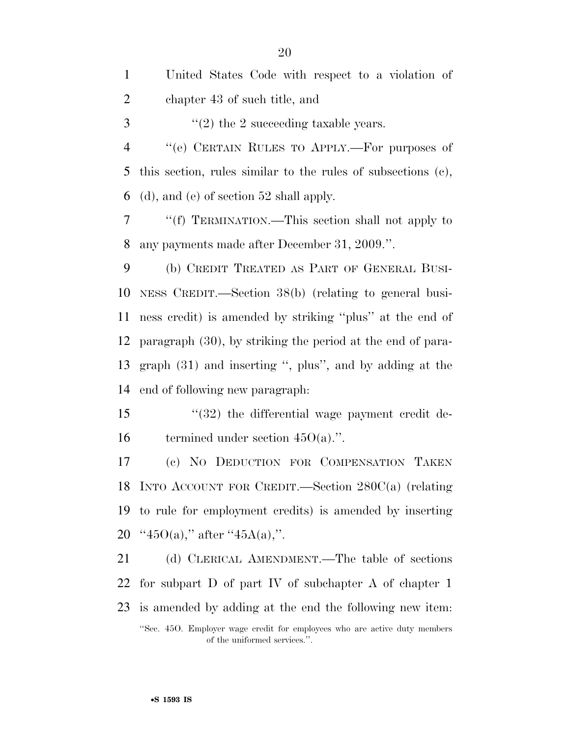United States Code with respect to a violation of chapter 43 of such title, and  $\frac{3}{2}$  ''(2) the 2 succeeding taxable years. ''(e) CERTAIN RULES TO APPLY.—For purposes of this section, rules similar to the rules of subsections (c), (d), and (e) of section 52 shall apply. ''(f) TERMINATION.—This section shall not apply to any payments made after December 31, 2009.''. (b) CREDIT TREATED AS PART OF GENERAL BUSI- NESS CREDIT.—Section 38(b) (relating to general busi- ness credit) is amended by striking ''plus'' at the end of paragraph (30), by striking the period at the end of para- graph (31) and inserting '', plus'', and by adding at the end of following new paragraph: 15 "(32) the differential wage payment credit de-16 termined under section  $45O(a)$ .". (c) NO DEDUCTION FOR COMPENSATION TAKEN INTO ACCOUNT FOR CREDIT.—Section 280C(a) (relating to rule for employment credits) is amended by inserting  $\cdot$  '45O(a)," after "45A(a),". (d) CLERICAL AMENDMENT.—The table of sections for subpart D of part IV of subchapter A of chapter 1

 is amended by adding at the end the following new item: ''Sec. 45O. Employer wage credit for employees who are active duty members of the uniformed services.''.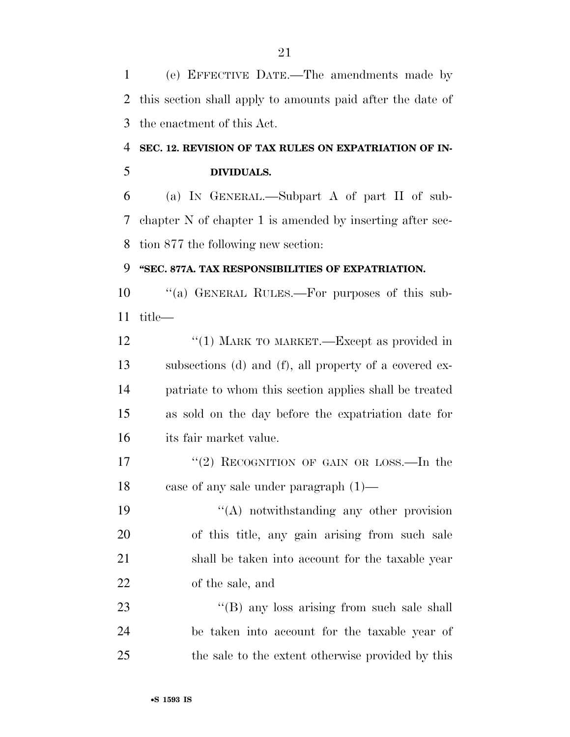(e) EFFECTIVE DATE.—The amendments made by this section shall apply to amounts paid after the date of the enactment of this Act.

### **SEC. 12. REVISION OF TAX RULES ON EXPATRIATION OF IN-DIVIDUALS.**

 (a) IN GENERAL.—Subpart A of part II of sub- chapter N of chapter 1 is amended by inserting after sec-tion 877 the following new section:

### **''SEC. 877A. TAX RESPONSIBILITIES OF EXPATRIATION.**

 ''(a) GENERAL RULES.—For purposes of this sub-title—

12 "(1) MARK TO MARKET.—Except as provided in subsections (d) and (f), all property of a covered ex- patriate to whom this section applies shall be treated as sold on the day before the expatriation date for its fair market value.

17 "(2) RECOGNITION OF GAIN OR LOSS.—In the case of any sale under paragraph (1)—

19 "(A) notwithstanding any other provision of this title, any gain arising from such sale shall be taken into account for the taxable year of the sale, and

23 "'(B) any loss arising from such sale shall be taken into account for the taxable year of the sale to the extent otherwise provided by this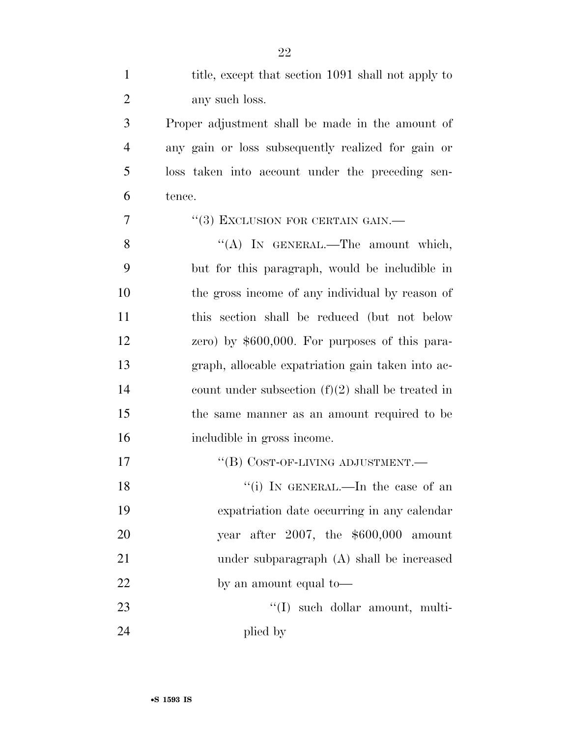| $\mathbf{1}$   | title, except that section 1091 shall not apply to  |
|----------------|-----------------------------------------------------|
| $\overline{2}$ | any such loss.                                      |
| 3              | Proper adjustment shall be made in the amount of    |
| $\overline{4}$ | any gain or loss subsequently realized for gain or  |
| 5              | loss taken into account under the preceding sen-    |
| 6              | tence.                                              |
| 7              | "(3) EXCLUSION FOR CERTAIN GAIN.—                   |
| 8              | "(A) IN GENERAL.—The amount which,                  |
| 9              | but for this paragraph, would be includible in      |
| 10             | the gross income of any individual by reason of     |
| 11             | this section shall be reduced (but not below        |
| 12             | zero) by $$600,000$ . For purposes of this para-    |
| 13             | graph, allocable expatriation gain taken into ac-   |
| 14             | count under subsection $(f)(2)$ shall be treated in |
| 15             | the same manner as an amount required to be         |
| 16             | includible in gross income.                         |
| 17             | "(B) COST-OF-LIVING ADJUSTMENT.—                    |
| 18             | "(i) IN GENERAL.—In the case of an                  |
| 19             | expatriation date occurring in any calendar         |
| 20             | year after $2007$ , the $$600,000$ amount           |
| 21             | under subparagraph (A) shall be increased           |
| 22             | by an amount equal to—                              |
| 23             | $\lq\lq$ such dollar amount, multi-                 |
| 24             | plied by                                            |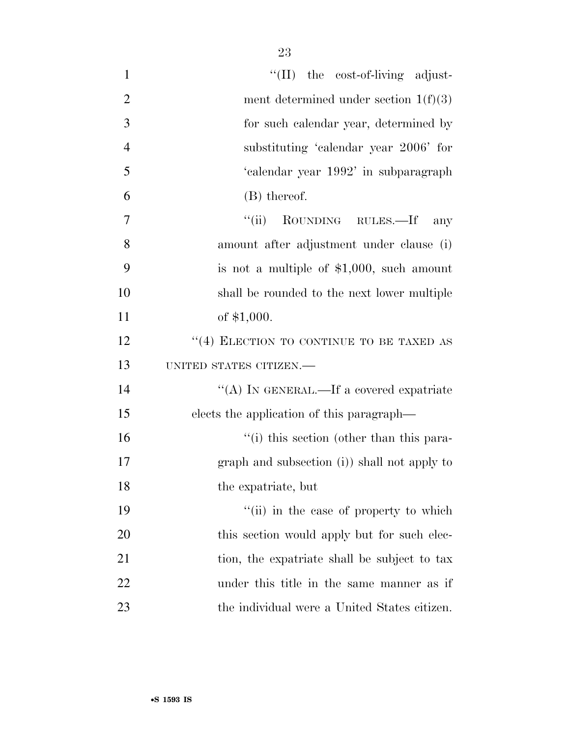| $\mathbf{1}$   | "(II) the cost-of-living adjust-             |
|----------------|----------------------------------------------|
| $\overline{2}$ | ment determined under section $1(f)(3)$      |
| 3              | for such calendar year, determined by        |
| $\overline{4}$ | substituting 'calendar year 2006' for        |
| 5              | 'calendar year 1992' in subparagraph         |
| 6              | (B) thereof.                                 |
| 7              | ``(ii)<br>ROUNDING RULES.—If<br>any          |
| 8              | amount after adjustment under clause (i)     |
| 9              | is not a multiple of $$1,000$ , such amount  |
| 10             | shall be rounded to the next lower multiple  |
| 11             | of $$1,000$ .                                |
| 12             | "(4) ELECTION TO CONTINUE TO BE TAXED AS     |
| 13             | UNITED STATES CITIZEN.-                      |
| 14             | "(A) IN GENERAL.—If a covered expatriate     |
| 15             | elects the application of this paragraph—    |
| 16             | "(i) this section (other than this para-     |
| 17             | graph and subsection (i)) shall not apply to |
| 18             | the expatriate, but                          |
| 19             | "(ii) in the case of property to which       |
| 20             | this section would apply but for such elec-  |
| 21             | tion, the expatriate shall be subject to tax |
| 22             | under this title in the same manner as if    |
| 23             | the individual were a United States citizen. |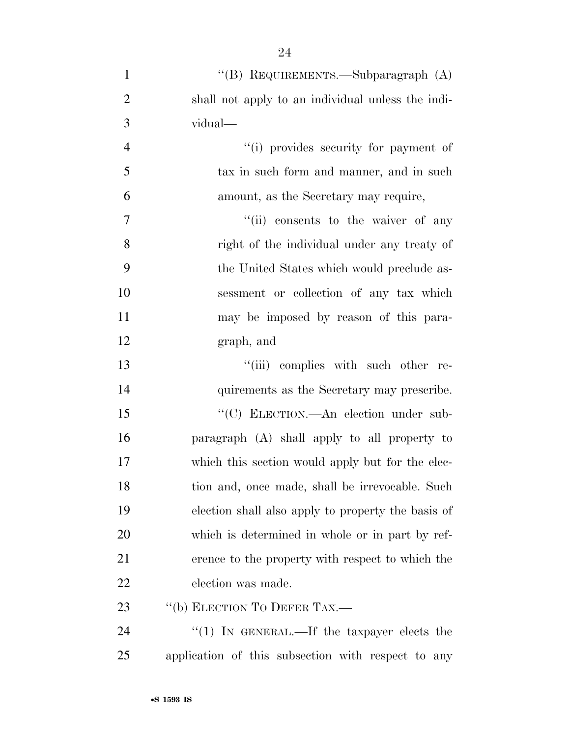| $\mathbf{1}$   | "(B) REQUIREMENTS.—Subparagraph (A)                |
|----------------|----------------------------------------------------|
| $\overline{2}$ | shall not apply to an individual unless the indi-  |
| 3              | vidual—                                            |
| $\overline{4}$ | "(i) provides security for payment of              |
| 5              | tax in such form and manner, and in such           |
| 6              | amount, as the Secretary may require,              |
| $\overline{7}$ | "(ii) consents to the waiver of any                |
| 8              | right of the individual under any treaty of        |
| 9              | the United States which would preclude as-         |
| 10             | sessment or collection of any tax which            |
| 11             | may be imposed by reason of this para-             |
| 12             | graph, and                                         |
| 13             | "(iii) complies with such other re-                |
| 14             | quirements as the Secretary may prescribe.         |
| 15             | "(C) ELECTION.—An election under sub-              |
| 16             | paragraph (A) shall apply to all property to       |
| 17             | which this section would apply but for the elec-   |
| 18             | tion and, once made, shall be irrevocable. Such    |
| 19             | election shall also apply to property the basis of |
| 20             | which is determined in whole or in part by ref-    |
| 21             | erence to the property with respect to which the   |
| 22             | election was made.                                 |
| 23             | "(b) ELECTION TO DEFER TAX.—                       |
| 24             | "(1) IN GENERAL.—If the taxpayer elects the        |

application of this subsection with respect to any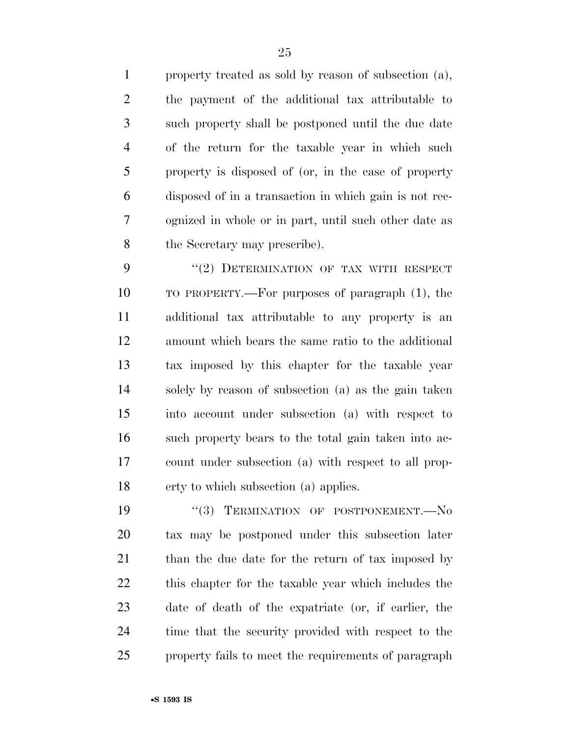property treated as sold by reason of subsection (a), the payment of the additional tax attributable to such property shall be postponed until the due date of the return for the taxable year in which such property is disposed of (or, in the case of property disposed of in a transaction in which gain is not rec- ognized in whole or in part, until such other date as the Secretary may prescribe).

9 "(2) DETERMINATION OF TAX WITH RESPECT TO PROPERTY.—For purposes of paragraph (1), the additional tax attributable to any property is an amount which bears the same ratio to the additional tax imposed by this chapter for the taxable year solely by reason of subsection (a) as the gain taken into account under subsection (a) with respect to such property bears to the total gain taken into ac- count under subsection (a) with respect to all prop-erty to which subsection (a) applies.

 $(3)$  TERMINATION OF POSTPONEMENT. No tax may be postponed under this subsection later 21 than the due date for the return of tax imposed by this chapter for the taxable year which includes the date of death of the expatriate (or, if earlier, the time that the security provided with respect to the property fails to meet the requirements of paragraph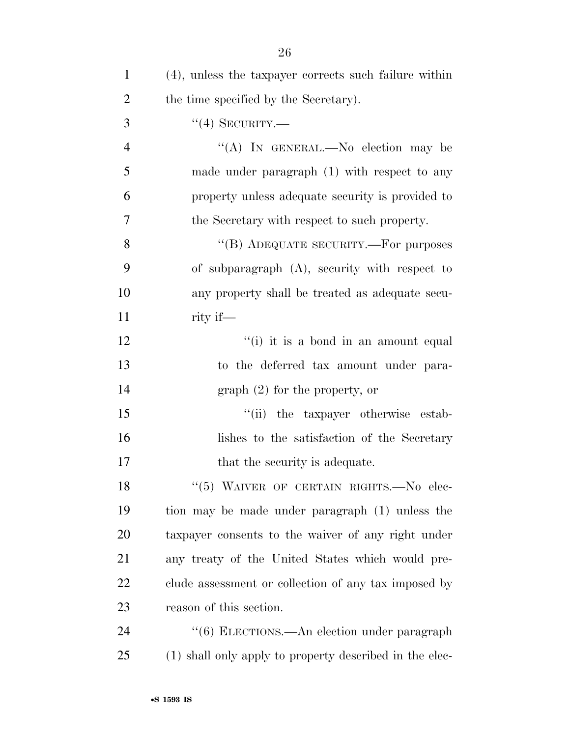| 1              | (4), unless the taxpayer corrects such failure within   |
|----------------|---------------------------------------------------------|
| $\overline{2}$ | the time specified by the Secretary).                   |
| 3              | $``(4)$ SECURITY.—                                      |
| $\overline{4}$ | "(A) In GENERAL.—No election may be                     |
| 5              | made under paragraph $(1)$ with respect to any          |
| 6              | property unless adequate security is provided to        |
| 7              | the Secretary with respect to such property.            |
| 8              | "(B) ADEQUATE SECURITY.—For purposes                    |
| 9              | of subparagraph $(A)$ , security with respect to        |
| 10             | any property shall be treated as adequate secu-         |
| 11             | rity if—                                                |
| 12             | "(i) it is a bond in an amount equal                    |
| 13             | to the deferred tax amount under para-                  |
| 14             | graph (2) for the property, or                          |
| 15             | "(ii) the taxpayer otherwise estab-                     |
| 16             | lishes to the satisfaction of the Secretary             |
| 17             | that the security is adequate.                          |
| 18             | "(5) WAIVER OF CERTAIN RIGHTS. No elec-                 |
| 19             | tion may be made under paragraph (1) unless the         |
| <b>20</b>      | taxpayer consents to the waiver of any right under      |
| 21             | any treaty of the United States which would pre-        |
| 22             | clude assessment or collection of any tax imposed by    |
| 23             | reason of this section.                                 |
| 24             | "(6) ELECTIONS.—An election under paragraph             |
| 25             | (1) shall only apply to property described in the elec- |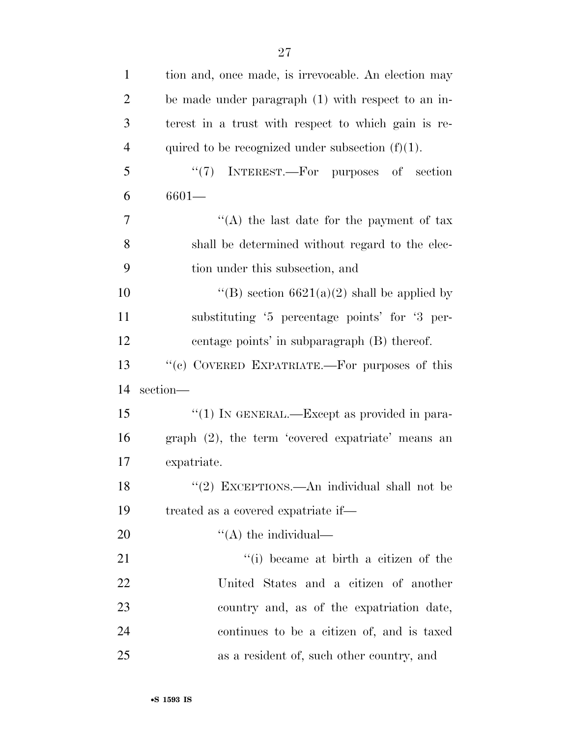| $\mathbf{1}$   | tion and, once made, is irrevocable. An election may |
|----------------|------------------------------------------------------|
| $\overline{2}$ | be made under paragraph (1) with respect to an in-   |
| 3              | terest in a trust with respect to which gain is re-  |
| $\overline{4}$ | quired to be recognized under subsection $(f)(1)$ .  |
| 5              | $(3^{12})^2$<br>INTEREST.—For purposes of section    |
| 6              | $6601 -$                                             |
| 7              | "(A) the last date for the payment of tax            |
| 8              | shall be determined without regard to the elec-      |
| 9              | tion under this subsection, and                      |
| 10             | "(B) section $6621(a)(2)$ shall be applied by        |
| 11             | substituting '5 percentage points' for '3 per-       |
| 12             | centage points' in subparagraph (B) thereof.         |
| 13             | "(c) COVERED EXPATRIATE.—For purposes of this        |
|                |                                                      |
| 14             | section-                                             |
| 15             | "(1) IN GENERAL.—Except as provided in para-         |
| 16             | graph (2), the term 'covered expatriate' means an    |
| 17             | expatriate.                                          |
| 18             | "(2) EXCEPTIONS.—An individual shall not be          |
| 19             | treated as a covered expatriate if—                  |
| 20             | $\lq\lq$ the individual—                             |
| 21             | "(i) became at birth a citizen of the                |
| 22             | United States and a citizen of another               |
| 23             | country and, as of the expatriation date,            |
| 24             | continues to be a citizen of, and is taxed           |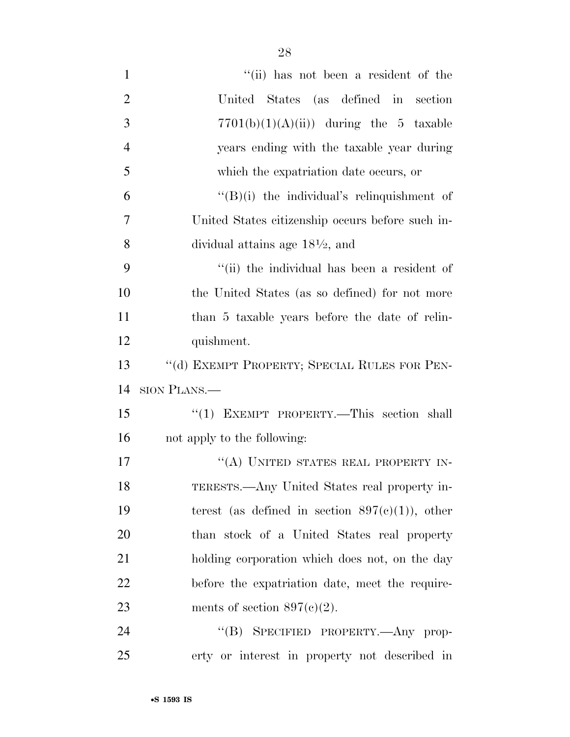| $\mathbf{1}$   | "(ii) has not been a resident of the               |
|----------------|----------------------------------------------------|
| $\overline{2}$ | United States (as defined in section               |
| 3              | $7701(b)(1)(A(ii))$ during the 5 taxable           |
| $\overline{4}$ | years ending with the taxable year during          |
| 5              | which the expatriation date occurs, or             |
| 6              | $\lq\lq(B)(i)$ the individual's relinquishment of  |
| 7              | United States citizenship occurs before such in-   |
| 8              | dividual attains age $18\frac{1}{2}$ , and         |
| 9              | "(ii) the individual has been a resident of        |
| 10             | the United States (as so defined) for not more     |
| 11             | than 5 taxable years before the date of relin-     |
| 12             | quishment.                                         |
| 13             | "(d) EXEMPT PROPERTY; SPECIAL RULES FOR PEN-       |
| 14             | SION PLANS.—                                       |
| 15             | "(1) EXEMPT PROPERTY.—This section shall           |
| 16             | not apply to the following:                        |
| 17             | "(A) UNITED STATES REAL PROPERTY IN-               |
| 18             | TERESTS.—Any United States real property in-       |
| 19             | terest (as defined in section $897(c)(1)$ ), other |
| 20             | than stock of a United States real property        |
| 21             | holding corporation which does not, on the day     |
| 22             | before the expatriation date, meet the require-    |
| 23             | ments of section $897(c)(2)$ .                     |
| 24             | "(B) SPECIFIED PROPERTY.—Any prop-                 |
| 25             | erty or interest in property not described in      |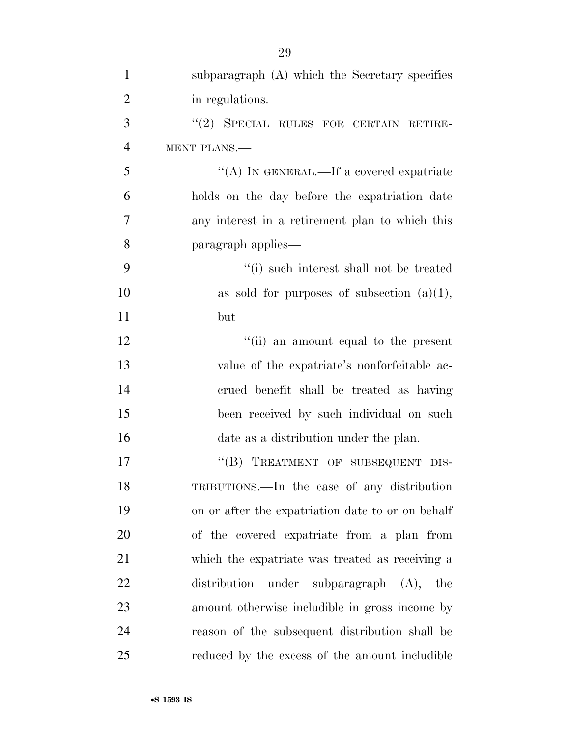| $\mathbf{1}$   | subparagraph (A) which the Secretary specifies    |
|----------------|---------------------------------------------------|
| $\overline{2}$ | in regulations.                                   |
| 3              | "(2) SPECIAL RULES FOR CERTAIN RETIRE-            |
| $\overline{4}$ | MENT PLANS.                                       |
| 5              | "(A) IN GENERAL.—If a covered expatriate          |
| 6              | holds on the day before the expatriation date     |
| 7              | any interest in a retirement plan to which this   |
| 8              | paragraph applies—                                |
| 9              | "(i) such interest shall not be treated           |
| 10             | as sold for purposes of subsection $(a)(1)$ ,     |
| 11             | but                                               |
| 12             | "(ii) an amount equal to the present              |
| 13             | value of the expatriate's nonforfeitable ac-      |
| 14             | crued benefit shall be treated as having          |
| 15             | been received by such individual on such          |
| 16             | date as a distribution under the plan.            |
| 17             | "(B) TREATMENT OF SUBSEQUENT DIS-                 |
| 18             | TRIBUTIONS.—In the case of any distribution       |
| 19             | on or after the expatriation date to or on behalf |
| 20             | of the covered expatriate from a plan from        |
| 21             | which the expatriate was treated as receiving a   |
| 22             | distribution<br>under subparagraph $(A)$ ,<br>the |
| 23             | amount otherwise includible in gross income by    |
| 24             | reason of the subsequent distribution shall be    |
| 25             | reduced by the excess of the amount includible    |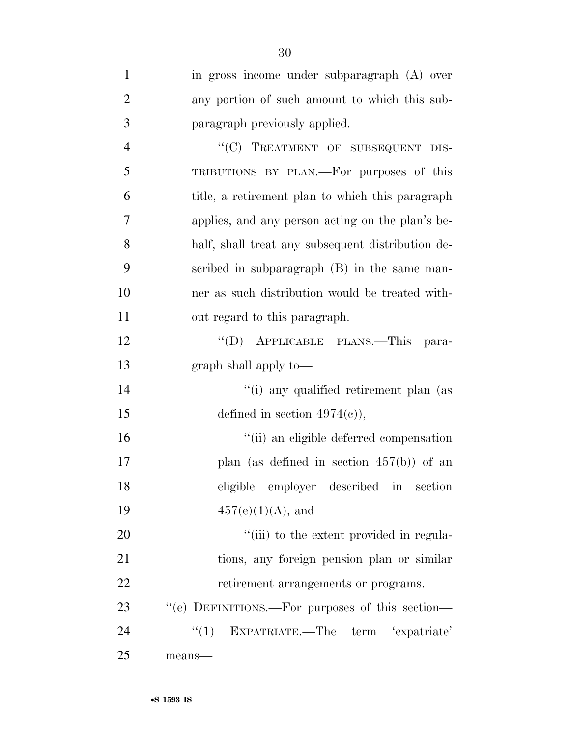| $\mathbf{1}$   | in gross income under subparagraph (A) over       |
|----------------|---------------------------------------------------|
| $\overline{2}$ | any portion of such amount to which this sub-     |
| 3              | paragraph previously applied.                     |
| $\overline{4}$ | "(C) TREATMENT OF SUBSEQUENT DIS-                 |
| 5              | TRIBUTIONS BY PLAN.—For purposes of this          |
| 6              | title, a retirement plan to which this paragraph  |
| $\overline{7}$ | applies, and any person acting on the plan's be-  |
| 8              | half, shall treat any subsequent distribution de- |
| 9              | scribed in subparagraph (B) in the same man-      |
| 10             | ner as such distribution would be treated with-   |
| 11             | out regard to this paragraph.                     |
| 12             | "(D) APPLICABLE PLANS.—This<br>para-              |
| 13             | graph shall apply to—                             |
| 14             | "(i) any qualified retirement plan (as            |
| 15             | defined in section $4974(e)$ ,                    |
| 16             | "(ii) an eligible deferred compensation           |
| 17             | plan (as defined in section $457(b)$ ) of an      |
| 18             | eligible employer described in section            |
| 19             | $457(e)(1)(A)$ , and                              |
| 20             | "(iii) to the extent provided in regula-          |
| 21             | tions, any foreign pension plan or similar        |
| 22             | retirement arrangements or programs.              |
| 23             | "(e) DEFINITIONS.—For purposes of this section—   |
| 24             | "(1) EXPATRIATE.—The term 'expatriate'            |
| 25             | means-                                            |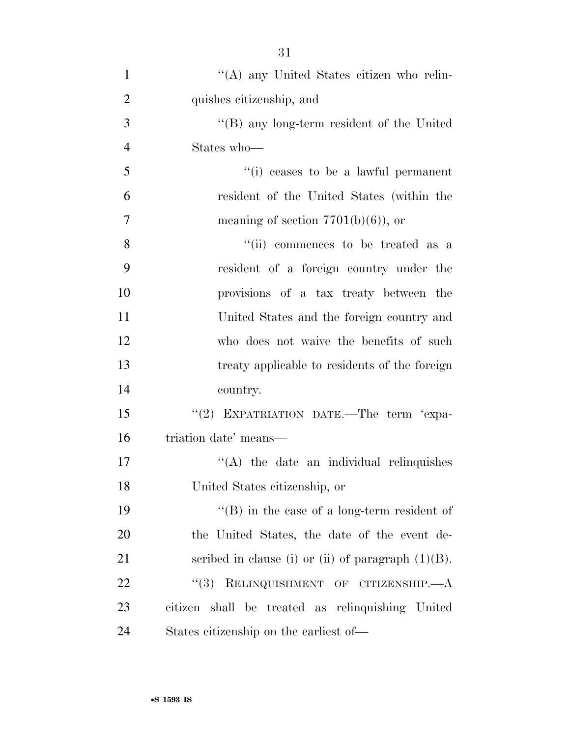| $\mathbf{1}$   | "(A) any United States citizen who relin-             |
|----------------|-------------------------------------------------------|
| $\overline{2}$ | quishes citizenship, and                              |
| 3              | $\lq$ (B) any long-term resident of the United        |
| $\overline{4}$ | States who-                                           |
| 5              | "(i) ceases to be a lawful permanent                  |
| 6              | resident of the United States (within the             |
| $\overline{7}$ | meaning of section $7701(b)(6)$ , or                  |
| 8              | "(ii) commences to be treated as a                    |
| 9              | resident of a foreign country under the               |
| 10             | provisions of a tax treaty between the                |
| 11             | United States and the foreign country and             |
| 12             | who does not waive the benefits of such               |
| 13             | treaty applicable to residents of the foreign         |
| 14             | country.                                              |
| 15             | "(2) EXPATRIATION DATE.-The term 'expa-               |
| 16             | triation date' means—                                 |
| 17             | $\lq\lq$ the date an individual relinquishes          |
| 18             | United States citizenship, or                         |
| 19             | $\lq\lq$ (B) in the case of a long-term resident of   |
| 20             | the United States, the date of the event de-          |
| 21             | scribed in clause (i) or (ii) of paragraph $(1)(B)$ . |
| 22             | RELINQUISHMENT OF CITIZENSHIP.—A<br>(3)               |
| 23             | citizen shall be treated as relinquishing United      |
| 24             | States citizenship on the earliest of—                |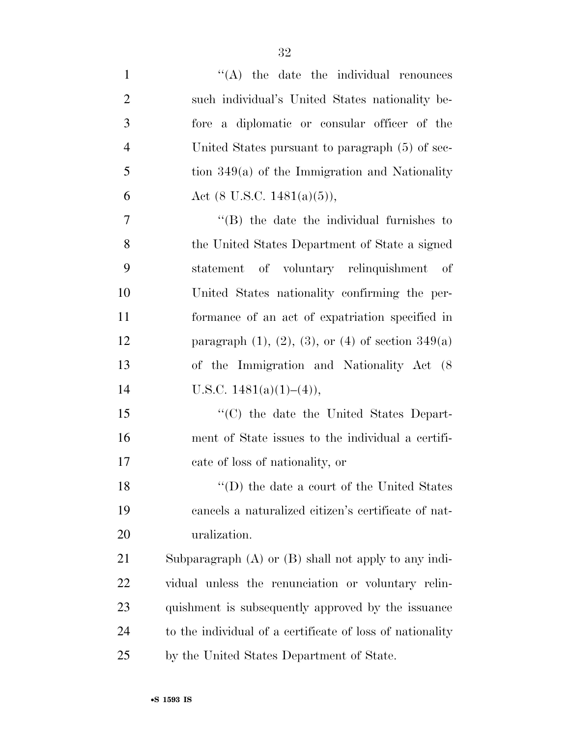| $\mathbf{1}$   | $\lq\lq$ the date the individual renounces                     |
|----------------|----------------------------------------------------------------|
| $\overline{2}$ | such individual's United States nationality be-                |
| 3              | fore a diplomatic or consular officer of the                   |
| $\overline{4}$ | United States pursuant to paragraph (5) of sec-                |
| 5              | tion $349(a)$ of the Immigration and Nationality               |
| 6              | Act $(8 \text{ U.S.C. } 1481(a)(5)),$                          |
| 7              | $\lq$ (B) the date the individual furnishes to                 |
| 8              | the United States Department of State a signed                 |
| 9              | statement of voluntary relinquishment of                       |
| 10             | United States nationality confirming the per-                  |
| 11             | formance of an act of expatriation specified in                |
| 12             | paragraph $(1)$ , $(2)$ , $(3)$ , or $(4)$ of section $349(a)$ |
| 13             | of the Immigration and Nationality Act (8)                     |
| 14             | U.S.C. $1481(a)(1)–(4)$ ,                                      |
| 15             | "(C) the date the United States Depart-                        |
| 16             | ment of State issues to the individual a certifi-              |
| 17             | cate of loss of nationality, or                                |
| 18             | $\lq\lq$ (D) the date a court of the United States             |
| 19             | cancels a naturalized citizen's certificate of nat-            |
| 20             | uralization.                                                   |
| 21             | Subparagraph $(A)$ or $(B)$ shall not apply to any indi-       |
| 22             | vidual unless the renunciation or voluntary relin-             |
| 23             | quishment is subsequently approved by the issuance             |
| 24             | to the individual of a certificate of loss of nationality      |
| 25             | by the United States Department of State.                      |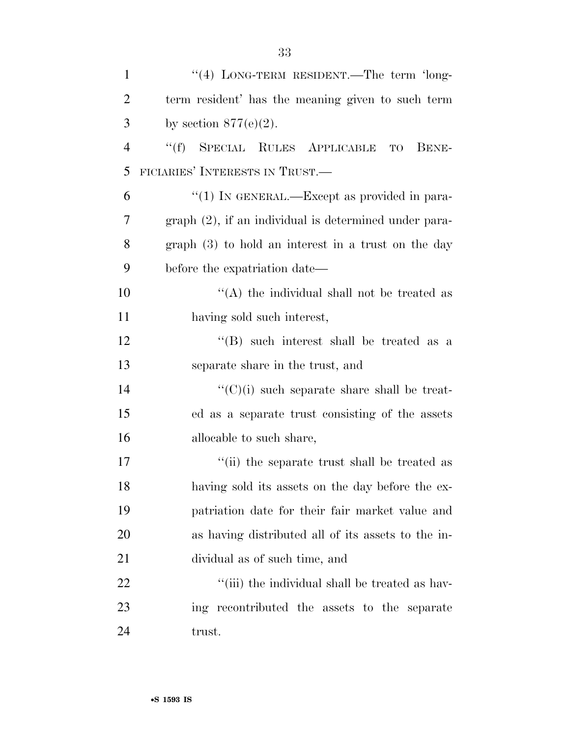| $\mathbf{1}$   | "(4) LONG-TERM RESIDENT.—The term 'long-                 |
|----------------|----------------------------------------------------------|
| $\overline{2}$ | term resident' has the meaning given to such term        |
| 3              | by section $877(e)(2)$ .                                 |
| $\overline{4}$ | ``(f)<br>SPECIAL RULES APPLICABLE<br>BENE-<br><b>TO</b>  |
| 5              | FICIARIES' INTERESTS IN TRUST.                           |
| 6              | "(1) IN GENERAL.—Except as provided in para-             |
| 7              | $graph (2)$ , if an individual is determined under para- |
| 8              | graph $(3)$ to hold an interest in a trust on the day    |
| 9              | before the expatriation date—                            |
| 10             | "(A) the individual shall not be treated as              |
| 11             | having sold such interest,                               |
| 12             | $\lq\lq$ such interest shall be treated as a             |
| 13             | separate share in the trust, and                         |
| 14             | $\lq\lq$ (C)(i) such separate share shall be treat-      |
| 15             | ed as a separate trust consisting of the assets          |
| 16             | allocable to such share,                                 |
| 17             | "(ii) the separate trust shall be treated as             |
| 18             | having sold its assets on the day before the ex-         |
| 19             | patriation date for their fair market value and          |
| 20             | as having distributed all of its assets to the in-       |
| 21             | dividual as of such time, and                            |
| 22             | "(iii) the individual shall be treated as hav-           |
| 23             | ing recontributed the assets to the separate             |
| 24             | trust.                                                   |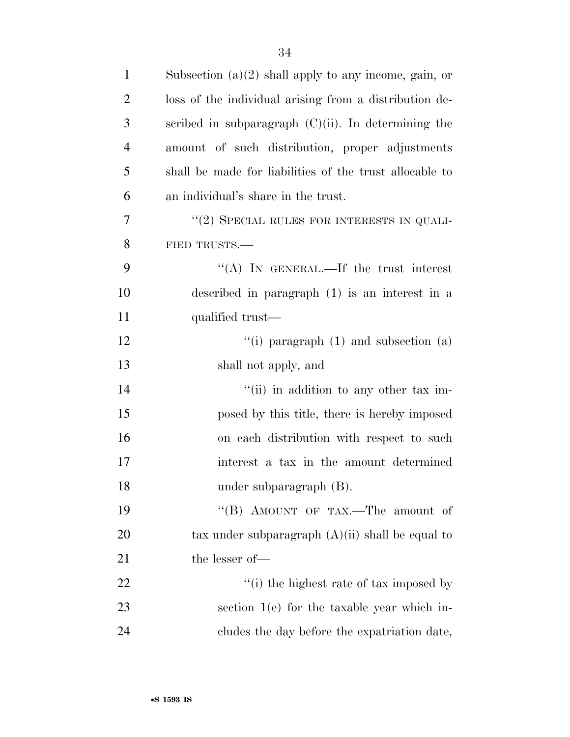| $\mathbf{1}$   | Subsection $(a)(2)$ shall apply to any income, gain, or |
|----------------|---------------------------------------------------------|
| $\overline{2}$ | loss of the individual arising from a distribution de-  |
| 3              | scribed in subparagraph $(C)(ii)$ . In determining the  |
| $\overline{4}$ | amount of such distribution, proper adjustments         |
| 5              | shall be made for liabilities of the trust allocable to |
| 6              | an individual's share in the trust.                     |
| 7              | $"$ (2) SPECIAL RULES FOR INTERESTS IN QUALI-           |
| 8              | FIED TRUSTS.                                            |
| 9              | "(A) IN GENERAL.—If the trust interest                  |
| 10             | described in paragraph $(1)$ is an interest in a        |
| 11             | qualified trust—                                        |
| 12             | "(i) paragraph $(1)$ and subsection $(a)$               |
| 13             | shall not apply, and                                    |
| 14             | "(ii) in addition to any other tax im-                  |
| 15             | posed by this title, there is hereby imposed            |
| 16             | on each distribution with respect to such               |
| 17             | interest a tax in the amount determined                 |
| 18             | under subparagraph (B).                                 |
| 19             | "(B) AMOUNT OF TAX.—The amount of                       |
| 20             | tax under subparagraph $(A)(ii)$ shall be equal to      |
| 21             | the lesser of-                                          |
| 22             | "(i) the highest rate of tax imposed by                 |
| 23             | section $1(e)$ for the taxable year which in-           |
| 24             | cludes the day before the expatriation date,            |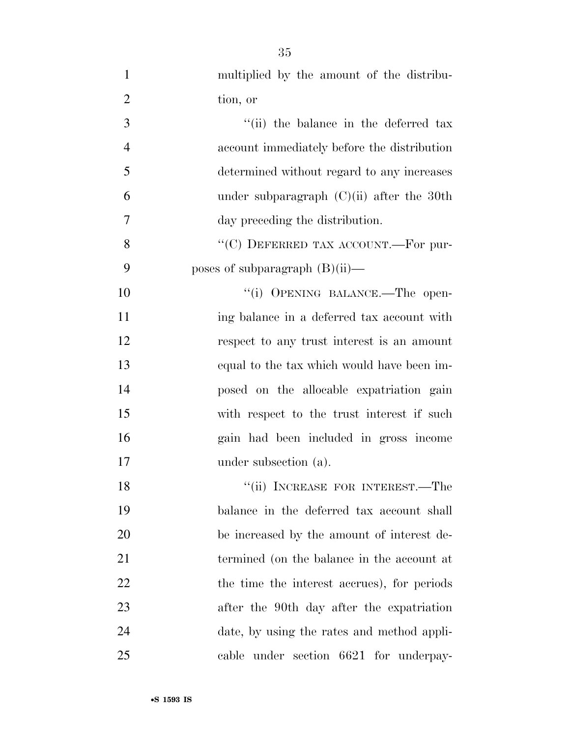| $\mathbf{1}$   | multiplied by the amount of the distribu-   |
|----------------|---------------------------------------------|
| $\overline{2}$ | tion, or                                    |
| 3              | "(ii) the balance in the deferred tax       |
| $\overline{4}$ | account immediately before the distribution |
| 5              | determined without regard to any increases  |
| 6              | under subparagraph $(C)(ii)$ after the 30th |
| 7              | day preceding the distribution.             |
| 8              | "(C) DEFERRED TAX ACCOUNT.—For pur-         |
| 9              | poses of subparagraph $(B)(ii)$ —           |
| 10             | "(i) OPENING BALANCE.—The open-             |
| 11             | ing balance in a deferred tax account with  |
| 12             | respect to any trust interest is an amount  |
| 13             | equal to the tax which would have been im-  |
| 14             | posed on the allocable expatriation gain    |
| 15             | with respect to the trust interest if such  |
| 16             | gain had been included in gross income      |
| 17             | under subsection (a).                       |
| 18             | "(ii) INCREASE FOR INTEREST.—The            |
| 19             | balance in the deferred tax account shall   |
| 20             | be increased by the amount of interest de-  |
| 21             | termined (on the balance in the account at  |
| 22             | the time the interest accrues), for periods |
| 23             | after the 90th day after the expatriation   |
| 24             | date, by using the rates and method appli-  |
| 25             | cable under section 6621 for underpay-      |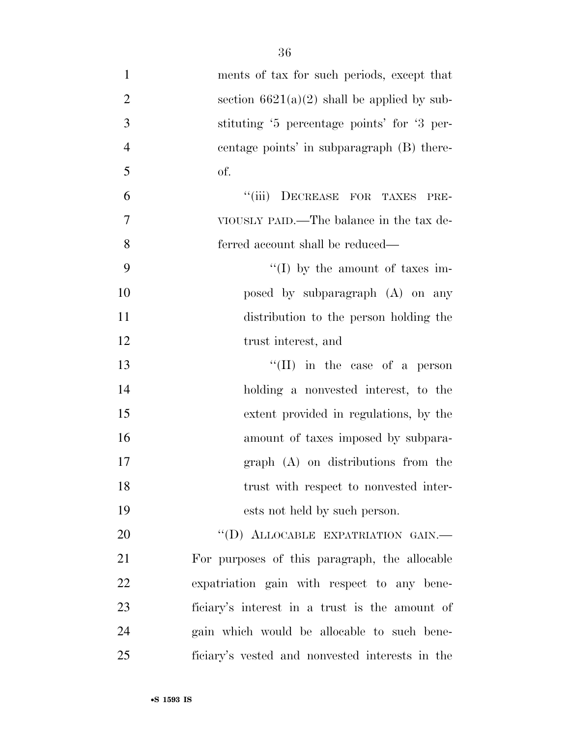| $\mathbf{1}$     | ments of tax for such periods, except that      |
|------------------|-------------------------------------------------|
| $\overline{2}$   | section $6621(a)(2)$ shall be applied by sub-   |
| 3                | stituting '5 percentage points' for '3 per-     |
| $\overline{4}$   | centage points' in subparagraph (B) there-      |
| 5                | of.                                             |
| 6                | "(iii) DECREASE FOR TAXES<br>PRE-               |
| $\boldsymbol{7}$ | VIOUSLY PAID.—The balance in the tax de-        |
| 8                | ferred account shall be reduced—                |
| 9                | "(I) by the amount of taxes im-                 |
| 10               | posed by subparagraph (A) on any                |
| 11               | distribution to the person holding the          |
| 12               | trust interest, and                             |
| 13               | "(II) in the case of a person                   |
| 14               | holding a nonvested interest, to the            |
| 15               | extent provided in regulations, by the          |
| 16               | amount of taxes imposed by subpara-             |
| 17               | graph (A) on distributions from the             |
| 18               | trust with respect to nonvested inter-          |
| 19               | ests not held by such person.                   |
| 20               | "(D) ALLOCABLE EXPATRIATION GAIN.-              |
| 21               | For purposes of this paragraph, the allocable   |
| 22               | expatriation gain with respect to any bene-     |
| 23               | ficiary's interest in a trust is the amount of  |
| 24               | gain which would be allocable to such bene-     |
| 25               | ficiary's vested and nonvested interests in the |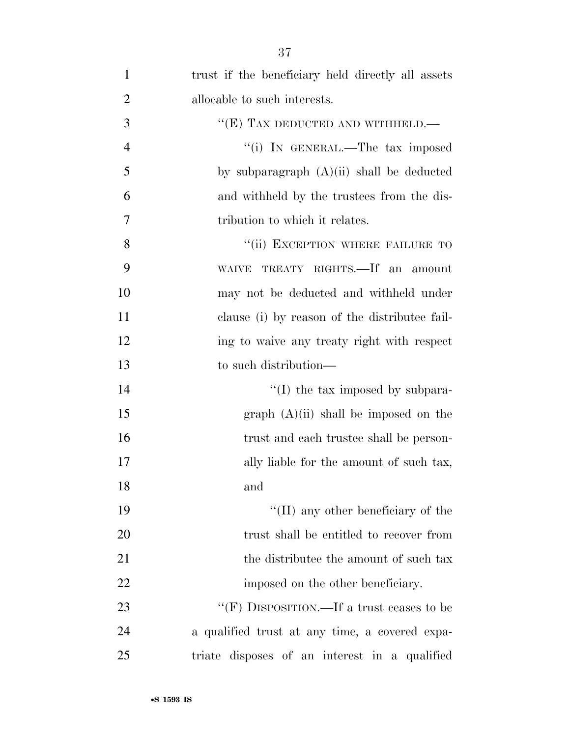| $\mathbf{1}$   | trust if the beneficiary held directly all assets |
|----------------|---------------------------------------------------|
| $\overline{2}$ | allocable to such interests.                      |
| 3              | " $(E)$ TAX DEDUCTED AND WITHHELD.—               |
| $\overline{4}$ | "(i) IN GENERAL.—The tax imposed                  |
| 5              | by subparagraph $(A)(ii)$ shall be deducted       |
| 6              | and withheld by the trustees from the dis-        |
| 7              | tribution to which it relates.                    |
| 8              | "(ii) EXCEPTION WHERE FAILURE TO                  |
| 9              | TREATY RIGHTS.—If an amount<br><b>WAIVE</b>       |
| 10             | may not be deducted and withheld under            |
| 11             | clause (i) by reason of the distributee fail-     |
| 12             | ing to waive any treaty right with respect        |
| 13             | to such distribution—                             |
| 14             | $\lq\lq$ (I) the tax imposed by subpara-          |
| 15             | graph (A)(ii) shall be imposed on the             |
| 16             | trust and each trustee shall be person-           |
| 17             | ally liable for the amount of such tax,           |
| 18             | and                                               |
| 19             | $\lq\lq$ (II) any other beneficiary of the        |
| 20             | trust shall be entitled to recover from           |
| 21             | the distribute the amount of such tax             |
| 22             | imposed on the other beneficiary.                 |
| 23             | "(F) DISPOSITION.—If a trust ceases to be         |
| 24             | a qualified trust at any time, a covered expa-    |
| 25             | triate disposes of an interest in a qualified     |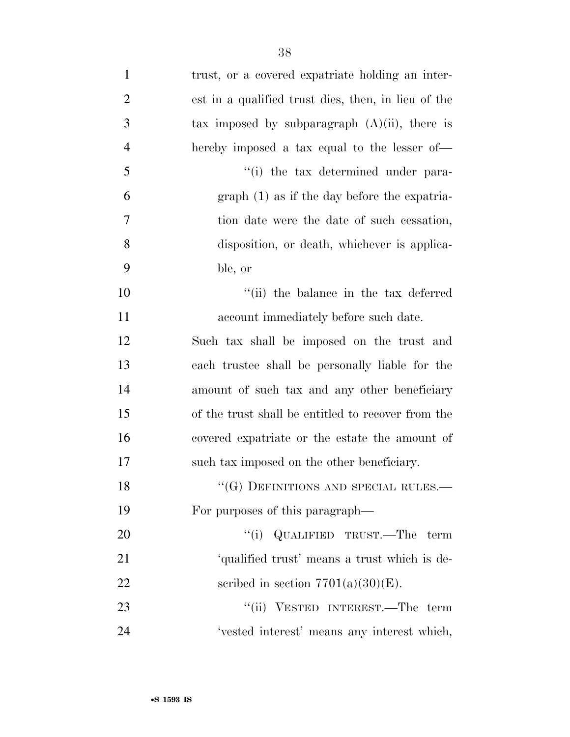| $\mathbf{1}$   | trust, or a covered expatriate holding an inter-    |
|----------------|-----------------------------------------------------|
| $\overline{2}$ | est in a qualified trust dies, then, in lieu of the |
| 3              | tax imposed by subparagraph $(A)(ii)$ , there is    |
| $\overline{4}$ | hereby imposed a tax equal to the lesser of—        |
| 5              | "(i) the tax determined under para-                 |
| 6              | $graph(1)$ as if the day before the expatria-       |
| 7              | tion date were the date of such cessation,          |
| 8              | disposition, or death, whichever is applica-        |
| 9              | ble, or                                             |
| 10             | "(ii) the balance in the tax deferred               |
| 11             | account immediately before such date.               |
| 12             | Such tax shall be imposed on the trust and          |
| 13             | each trustee shall be personally liable for the     |
| 14             | amount of such tax and any other beneficiary        |
| 15             | of the trust shall be entitled to recover from the  |
| 16             | covered expatriate or the estate the amount of      |
| 17             | such tax imposed on the other beneficiary.          |
| 18             | "(G) DEFINITIONS AND SPECIAL RULES.—                |
| 19             | For purposes of this paragraph—                     |
| 20             | "(i) QUALIFIED TRUST.—The term                      |
| 21             | 'qualified trust' means a trust which is de-        |
| 22             | scribed in section $7701(a)(30)(E)$ .               |
| 23             | "(ii) VESTED INTEREST.—The term                     |
| 24             | 'vested interest' means any interest which,         |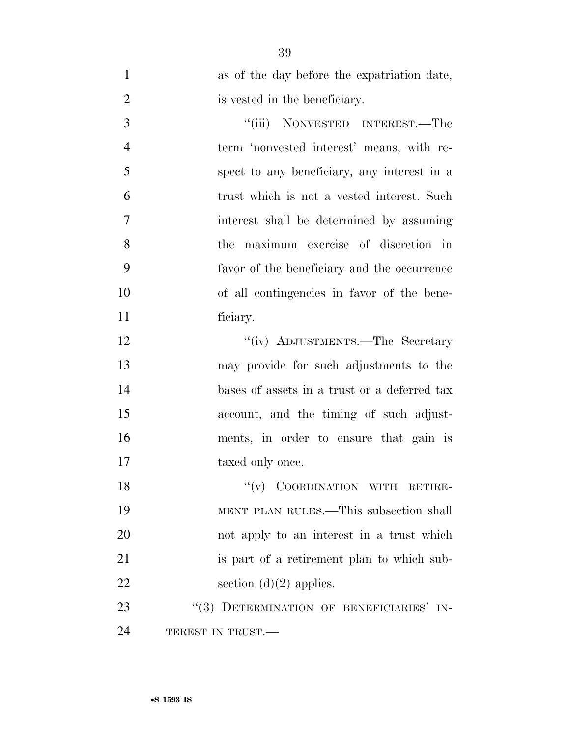| $\mathbf{1}$   | as of the day before the expatriation date,  |
|----------------|----------------------------------------------|
| $\overline{2}$ | is vested in the beneficiary.                |
| 3              | "(iii) NONVESTED INTEREST.—The               |
| $\overline{4}$ | term 'nonvested interest' means, with re-    |
| 5              | spect to any beneficiary, any interest in a  |
| 6              | trust which is not a vested interest. Such   |
| 7              | interest shall be determined by assuming     |
| 8              | the maximum exercise of discretion in        |
| 9              | favor of the beneficiary and the occurrence  |
| 10             | of all contingencies in favor of the bene-   |
| 11             | ficiary.                                     |
| 12             | "(iv) ADJUSTMENTS.—The Secretary             |
| 13             | may provide for such adjustments to the      |
| 14             | bases of assets in a trust or a deferred tax |
| 15             | account, and the timing of such adjust-      |
| 16             | ments, in order to ensure that gain is       |
| 17             | taxed only once.                             |
| 18             | $``(v)$ COORDINATION WITH RETIRE-            |
| 19             | MENT PLAN RULES.—This subsection shall       |
| 20             | not apply to an interest in a trust which    |
| 21             | is part of a retirement plan to which sub-   |
| 22             | section $(d)(2)$ applies.                    |
| 23             | "(3) DETERMINATION OF BENEFICIARIES' IN-     |
| 24             | TEREST IN TRUST.—                            |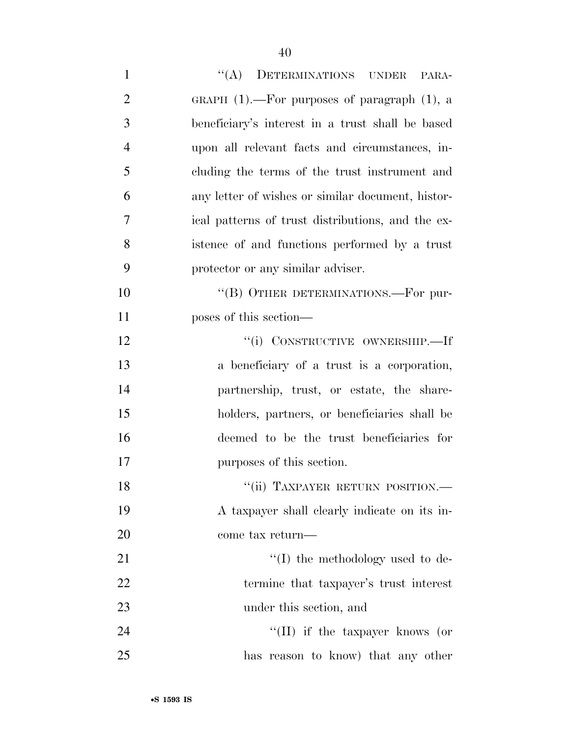| $\mathbf{1}$   | "(A) DETERMINATIONS UNDER<br>PARA-                |
|----------------|---------------------------------------------------|
| $\overline{2}$ | GRAPH $(1)$ .—For purposes of paragraph $(1)$ , a |
| 3              | beneficiary's interest in a trust shall be based  |
| $\overline{4}$ | upon all relevant facts and circumstances, in-    |
| 5              | cluding the terms of the trust instrument and     |
| 6              | any letter of wishes or similar document, histor- |
| 7              | ical patterns of trust distributions, and the ex- |
| 8              | istence of and functions performed by a trust     |
| 9              | protector or any similar adviser.                 |
| 10             | "(B) OTHER DETERMINATIONS.—For pur-               |
| 11             | poses of this section—                            |
| 12             | "(i) CONSTRUCTIVE OWNERSHIP.—If                   |
| 13             | a beneficiary of a trust is a corporation,        |
| 14             | partnership, trust, or estate, the share-         |
| 15             | holders, partners, or beneficiaries shall be      |
| 16             | deemed to be the trust beneficiaries for          |
| 17             | purposes of this section.                         |
| 18             | "(ii) TAXPAYER RETURN POSITION.-                  |
| 19             | A taxpayer shall clearly indicate on its in-      |
| 20             | come tax return—                                  |
| 21             | $\lq\lq$ the methodology used to de-              |
| 22             | termine that taxpayer's trust interest            |
| 23             | under this section, and                           |
| 24             | "(II) if the taxpayer knows (or                   |
| 25             | has reason to know) that any other                |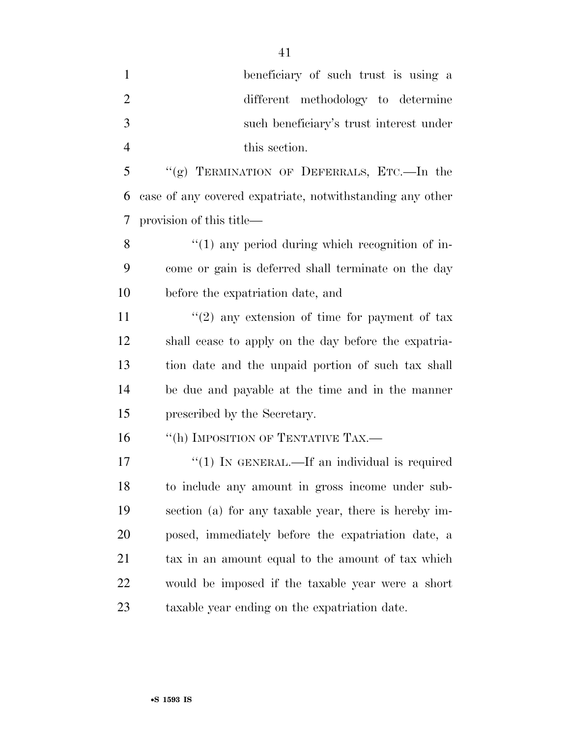| $\mathbf{1}$   | beneficiary of such trust is using a                      |
|----------------|-----------------------------------------------------------|
| $\overline{c}$ | different methodology to determine                        |
| 3              | such beneficiary's trust interest under                   |
| 4              | this section.                                             |
| 5              | "(g) TERMINATION OF DEFERRALS, ETC.—In the                |
| 6              | case of any covered expatriate, notwithstanding any other |
| 7              | provision of this title—                                  |
| 8              | $\lq(1)$ any period during which recognition of in-       |
| 9              | come or gain is deferred shall terminate on the day       |
| 10             | before the expatriation date, and                         |
| 11             | $\lq(2)$ any extension of time for payment of tax         |
| 12             | shall cease to apply on the day before the expatria-      |
| 13             | tion date and the unpaid portion of such tax shall        |
| 14             | be due and payable at the time and in the manner          |
| 15             | prescribed by the Secretary.                              |
| 16             | "(h) IMPOSITION OF TENTATIVE TAX.-                        |
| 17             | "(1) IN GENERAL.—If an individual is required             |
| 18             | to include any amount in gross income under sub-          |
| 19             | section (a) for any taxable year, there is hereby im-     |
| 20             | posed, immediately before the expatriation date, a        |
| 21             | tax in an amount equal to the amount of tax which         |
| 22             | would be imposed if the taxable year were a short         |
| 23             | taxable year ending on the expatriation date.             |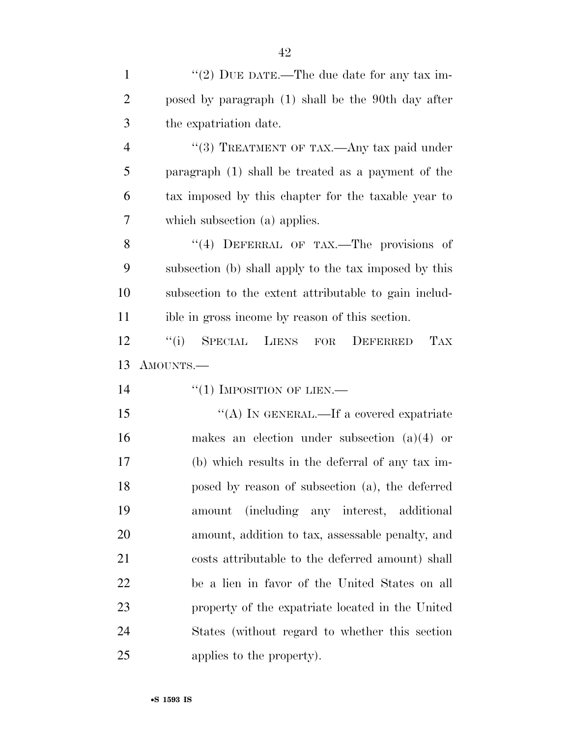| $\mathbf{1}$   | "(2) DUE DATE.—The due date for any tax im-                |
|----------------|------------------------------------------------------------|
| $\overline{2}$ | posed by paragraph (1) shall be the 90th day after         |
| 3              | the expatriation date.                                     |
| $\overline{4}$ | "(3) TREATMENT OF TAX.—Any tax paid under                  |
| 5              | paragraph (1) shall be treated as a payment of the         |
| 6              | tax imposed by this chapter for the taxable year to        |
| 7              | which subsection (a) applies.                              |
| 8              | "(4) DEFERRAL OF TAX.—The provisions of                    |
| 9              | subsection (b) shall apply to the tax imposed by this      |
| 10             | subsection to the extent attributable to gain includ-      |
| 11             | ible in gross income by reason of this section.            |
| 12             | ``(i)<br>SPECIAL<br>LIENS<br><b>TAX</b><br>DEFERRED<br>FOR |
|                |                                                            |
| 13             | AMOUNTS.—                                                  |
| 14             | "(1) IMPOSITION OF LIEN.—                                  |
| 15             | "(A) IN GENERAL.—If a covered expatriate                   |
| 16             | makes an election under subsection $(a)(4)$ or             |
| 17             | (b) which results in the deferral of any tax im-           |
| 18             | posed by reason of subsection (a), the deferred            |
| 19             | (including any interest, additional<br>amount              |
| 20             | amount, addition to tax, assessable penalty, and           |
| 21             | costs attributable to the deferred amount) shall           |
| 22             | be a lien in favor of the United States on all             |
| 23             | property of the expatriate located in the United           |
| 24             | States (without regard to whether this section             |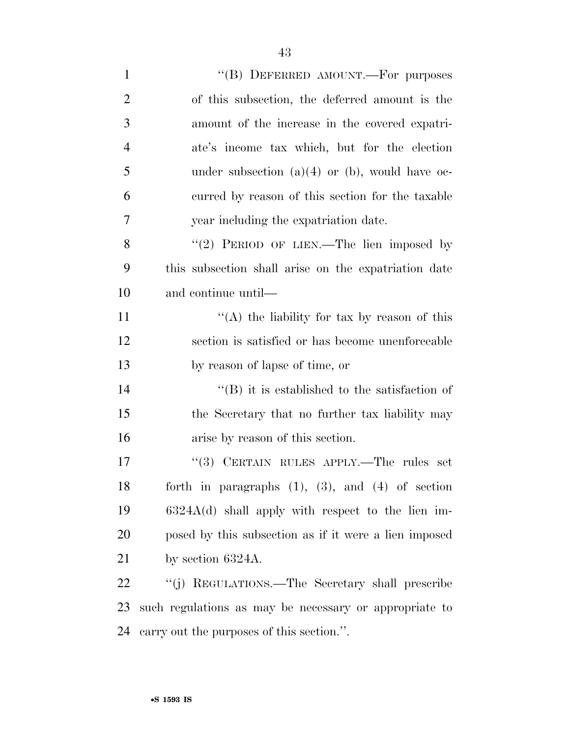| $\mathbf{1}$   | "(B) DEFERRED AMOUNT.—For purposes                       |
|----------------|----------------------------------------------------------|
| $\overline{2}$ | of this subsection, the deferred amount is the           |
| 3              | amount of the increase in the covered expatri-           |
| $\overline{4}$ | ate's income tax which, but for the election             |
| 5              | under subsection $(a)(4)$ or $(b)$ , would have oc-      |
| 6              | curred by reason of this section for the taxable         |
| 7              | year including the expatriation date.                    |
| 8              | "(2) PERIOD OF LIEN.—The lien imposed by                 |
| 9              | this subsection shall arise on the expatriation date     |
| 10             | and continue until—                                      |
| 11             | "(A) the liability for tax by reason of this             |
| 12             | section is satisfied or has become unenforceable         |
| 13             | by reason of lapse of time, or                           |
| 14             | $\lq\lq$ ) it is established to the satisfaction of      |
| 15             | the Secretary that no further tax liability may          |
| 16             | arise by reason of this section.                         |
| 17             | "(3) CERTAIN RULES APPLY.—The rules set                  |
| 18             | forth in paragraphs $(1)$ , $(3)$ , and $(4)$ of section |
| 19             | $6324A(d)$ shall apply with respect to the lien im-      |
| 20             | posed by this subsection as if it were a lien imposed    |
| 21             | by section $6324A$ .                                     |
| 22             | "(j) REGULATIONS.—The Secretary shall prescribe          |
| 23             | such regulations as may be necessary or appropriate to   |
| 24             | carry out the purposes of this section.".                |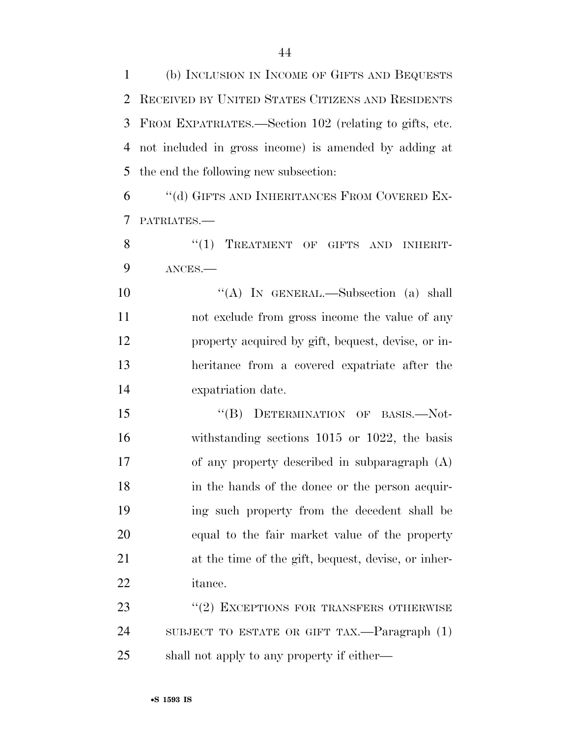(b) INCLUSION IN INCOME OF GIFTS AND BEQUESTS RECEIVED BY UNITED STATES CITIZENS AND RESIDENTS FROM EXPATRIATES.—Section 102 (relating to gifts, etc. not included in gross income) is amended by adding at the end the following new subsection:

 ''(d) GIFTS AND INHERITANCES FROM COVERED EX-PATRIATES.—

8 "(1) TREATMENT OF GIFTS AND INHERIT-ANCES.—

10 "(A) IN GENERAL.—Subsection (a) shall not exclude from gross income the value of any property acquired by gift, bequest, devise, or in- heritance from a covered expatriate after the expatriation date.

15 "(B) DETERMINATION OF BASIS.—Not- withstanding sections 1015 or 1022, the basis of any property described in subparagraph (A) in the hands of the donee or the person acquir- ing such property from the decedent shall be equal to the fair market value of the property at the time of the gift, bequest, devise, or inher-itance.

23 "(2) EXCEPTIONS FOR TRANSFERS OTHERWISE SUBJECT TO ESTATE OR GIFT TAX.—Paragraph (1) shall not apply to any property if either—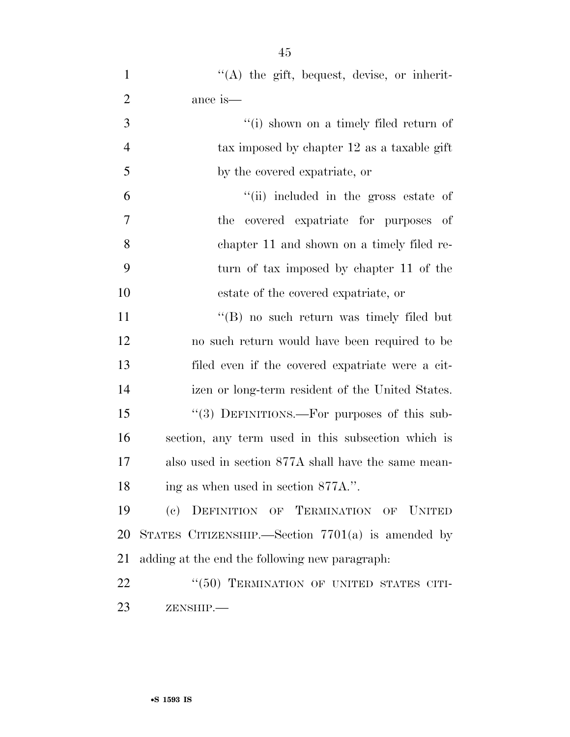| $\mathbf{1}$   | "(A) the gift, bequest, devise, or inherit-         |
|----------------|-----------------------------------------------------|
| $\overline{2}$ | ance is—                                            |
| 3              | "(i) shown on a timely filed return of              |
| $\overline{4}$ | tax imposed by chapter 12 as a taxable gift         |
| 5              | by the covered expatriate, or                       |
| 6              | "(ii) included in the gross estate of               |
| $\tau$         | the covered expatriate for purposes of              |
| 8              | chapter 11 and shown on a timely filed re-          |
| 9              | turn of tax imposed by chapter 11 of the            |
| 10             | estate of the covered expatriate, or                |
| 11             | "(B) no such return was timely filed but            |
| 12             | no such return would have been required to be       |
| 13             | filed even if the covered expatriate were a cit-    |
| 14             | izen or long-term resident of the United States.    |
| 15             | "(3) DEFINITIONS.—For purposes of this sub-         |
| 16             | section, any term used in this subsection which is  |
| 17             | also used in section 877A shall have the same mean- |
| 18             | ing as when used in section 877A.".                 |
| 19             | DEFINITION OF TERMINATION OF UNITED<br>(e)          |
| 20             | STATES CITIZENSHIP. Section $7701(a)$ is amended by |
| 21             | adding at the end the following new paragraph:      |
| 22             | "(50) TERMINATION OF UNITED STATES CITI-            |
| 23             | ZENSHIP.-                                           |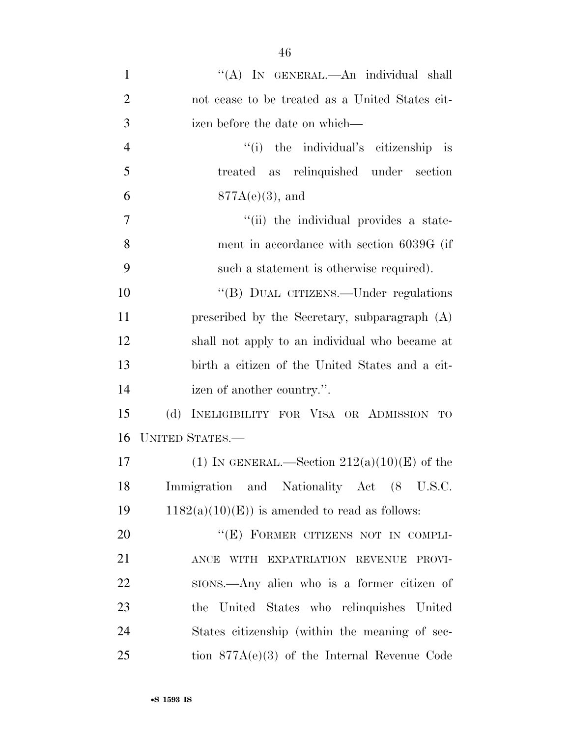| $\mathbf{1}$   | "(A) IN GENERAL.—An individual shall             |
|----------------|--------------------------------------------------|
| $\overline{2}$ | not cease to be treated as a United States cit-  |
| 3              | izen before the date on which—                   |
| $\overline{4}$ | "(i) the individual's citizenship is             |
| 5              | treated as relinquished under section            |
| 6              | $877A(e)(3)$ , and                               |
| $\overline{7}$ | "(ii) the individual provides a state-           |
| 8              | ment in accordance with section 6039G (if        |
| 9              | such a statement is otherwise required).         |
| 10             | "(B) DUAL CITIZENS.—Under regulations            |
| 11             | prescribed by the Secretary, subparagraph (A)    |
| 12             | shall not apply to an individual who became at   |
| 13             | birth a citizen of the United States and a cit-  |
| 14             | izen of another country.".                       |
| 15             | (d)<br>INELIGIBILITY FOR VISA OR ADMISSION<br>TO |
| 16             | <b>UNITED STATES.—</b>                           |
| 17             | (1) IN GENERAL.—Section $212(a)(10)(E)$ of the   |
| 18             | Immigration and Nationality Act (8 U.S.C.        |
| 19             | $1182(a)(10)(E)$ is amended to read as follows:  |
| 20             | "(E) FORMER CITIZENS NOT IN COMPLI-              |
| 21             | WITH EXPATRIATION REVENUE PROVI-<br><b>ANCE</b>  |
| 22             | sions.—Any alien who is a former citizen of      |
| 23             | the United States who relinquishes United        |
| 24             | States citizenship (within the meaning of sec-   |
| 25             | tion $877A(e)(3)$ of the Internal Revenue Code   |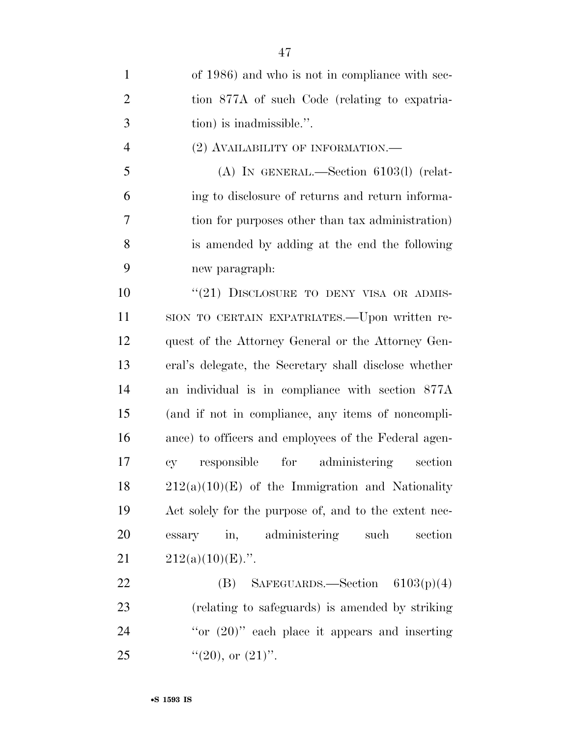| $\mathbf{1}$   | of 1986) and who is not in compliance with sec-       |
|----------------|-------------------------------------------------------|
| $\overline{2}$ | tion 877A of such Code (relating to expatria-         |
| 3              | tion) is inadmissible.".                              |
| $\overline{4}$ | $(2)$ AVAILABILITY OF INFORMATION.—                   |
| 5              | $(A)$ In GENERAL.—Section 6103(1) (relat-             |
| 6              | ing to disclosure of returns and return informa-      |
| 7              | tion for purposes other than tax administration)      |
| 8              | is amended by adding at the end the following         |
| 9              | new paragraph:                                        |
| 10             | "(21) DISCLOSURE TO DENY VISA OR ADMIS-               |
| 11             | SION TO CERTAIN EXPATRIATES.—Upon written re-         |
| 12             | quest of the Attorney General or the Attorney Gen-    |
| 13             | eral's delegate, the Secretary shall disclose whether |
| 14             | an individual is in compliance with section 877A      |
| 15             | (and if not in compliance, any items of noncompli-    |
| 16             | ance) to officers and employees of the Federal agen-  |
| 17             | responsible for administering section<br><b>cy</b>    |
| 18             | $212(a)(10)(E)$ of the Immigration and Nationality    |
| 19             | Act solely for the purpose of, and to the extent nec- |
| 20             | in, administering such<br>essary<br>section           |
| 21             | $212(a)(10)(E)$ .".                                   |
| <u>22</u>      | (B)<br>$S$ AFEGUARDS.—Section 6103(p)(4)              |
| 23             | (relating to safeguards) is amended by striking       |
| 24             | "or $(20)$ " each place it appears and inserting      |
| 25             | " $(20)$ , or $(21)$ ".                               |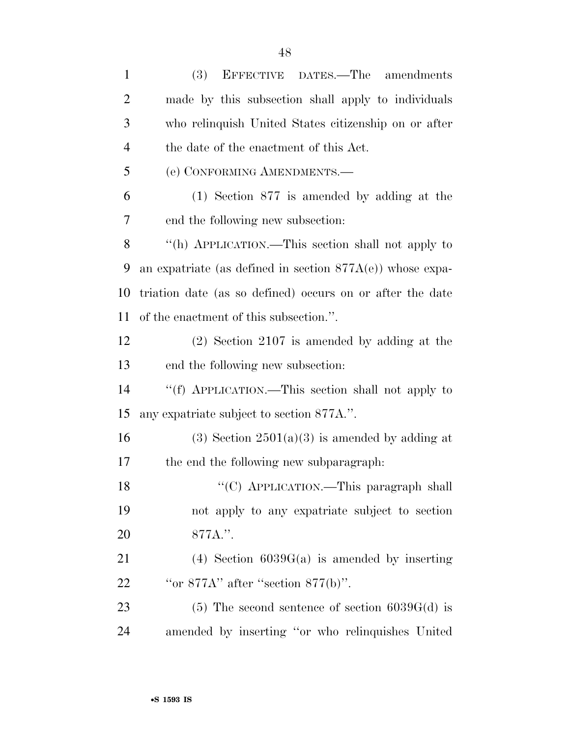| $\mathbf{1}$   | (3)<br><b>EFFECTIVE</b><br>DATES.—The amendments             |
|----------------|--------------------------------------------------------------|
| $\overline{2}$ | made by this subsection shall apply to individuals           |
| 3              | who relinquish United States citizenship on or after         |
| 4              | the date of the enactment of this Act.                       |
| 5              | (e) CONFORMING AMENDMENTS.-                                  |
| 6              | $(1)$ Section 877 is amended by adding at the                |
| 7              | end the following new subsection:                            |
| 8              | "(h) APPLICATION.—This section shall not apply to            |
| 9              | an expatriate (as defined in section $877A(e)$ ) whose expa- |
| 10             | triation date (as so defined) occurs on or after the date    |
| 11             | of the enactment of this subsection.".                       |
| 12             | $(2)$ Section 2107 is amended by adding at the               |
| 13             | end the following new subsection:                            |
| 14             | "(f) APPLICATION.—This section shall not apply to            |
| 15             | any expatriate subject to section 877A.".                    |
| 16             | $(3)$ Section $2501(a)(3)$ is amended by adding at           |
| 17             | the end the following new subparagraph.                      |
| 18             | "(C) APPLICATION.—This paragraph shall                       |
| 19             | not apply to any expatriate subject to section               |
| 20             | 877A.".                                                      |
| 21             | $(4)$ Section 6039G(a) is amended by inserting               |
| 22             | "or $877A$ " after "section $877(b)$ ".                      |
| 23             | $(5)$ The second sentence of section 6039G(d) is             |
| 24             | amended by inserting "or who relinquishes United             |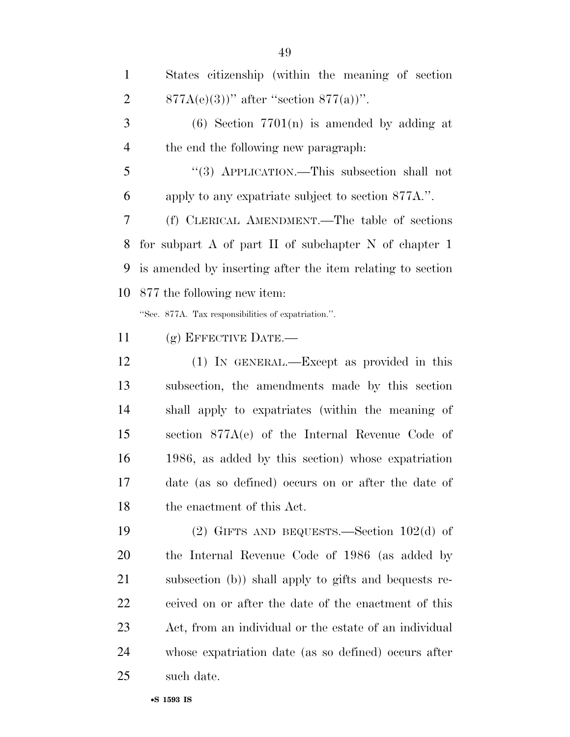| $\mathbf{1}$   | States citizenship (within the meaning of section          |
|----------------|------------------------------------------------------------|
| $\overline{c}$ | $877A(e)(3)$ " after "section $877(a)$ ".                  |
| 3              | $(6)$ Section 7701(n) is amended by adding at              |
| 4              | the end the following new paragraph.                       |
| 5              | "(3) APPLICATION.—This subsection shall not                |
| 6              | apply to any expatriate subject to section 877A.".         |
| 7              | (f) CLERICAL AMENDMENT.—The table of sections              |
| 8              | for subpart A of part II of subchapter N of chapter $1$    |
| 9              | is amended by inserting after the item relating to section |
| 10             | 877 the following new item:                                |
|                | "Sec. 877A. Tax responsibilities of expatriation.".        |
| 11             | $(g)$ EFFECTIVE DATE.—                                     |
| 12             | (1) IN GENERAL.—Except as provided in this                 |
| 13             | subsection, the amendments made by this section            |
| 14             | shall apply to expatriates (within the meaning of          |
| 15             | section $877A(e)$ of the Internal Revenue Code of          |
| 16             | 1986, as added by this section) whose expatriation         |
| 17             | date (as so defined) occurs on or after the date of        |
| 18             | the enactment of this Act.                                 |
| 19             | (2) GIFTS AND BEQUESTS.—Section $102(d)$ of                |
| 20             | the Internal Revenue Code of 1986 (as added by             |

subsection (b)) shall apply to gifts and bequests re-

ceived on or after the date of the enactment of this

Act, from an individual or the estate of an individual

whose expatriation date (as so defined) occurs after

•**S 1593 IS**

such date.